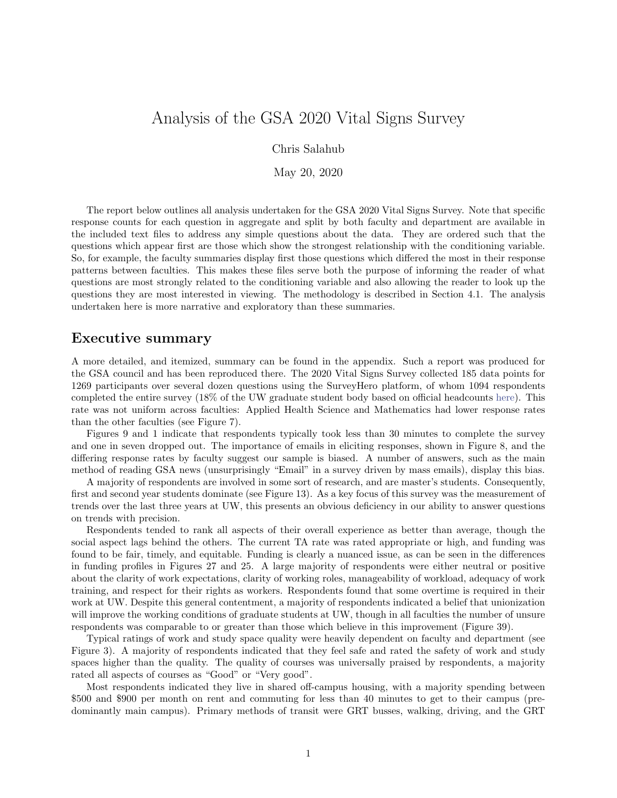# Analysis of the GSA 2020 Vital Signs Survey

Chris Salahub

May 20, 2020

The report below outlines all analysis undertaken for the GSA 2020 Vital Signs Survey. Note that specific response counts for each question in aggregate and split by both faculty and department are available in the included text files to address any simple questions about the data. They are ordered such that the questions which appear first are those which show the strongest relationship with the conditioning variable. So, for example, the faculty summaries display first those questions which differed the most in their response patterns between faculties. This makes these files serve both the purpose of informing the reader of what questions are most strongly related to the conditioning variable and also allowing the reader to look up the questions they are most interested in viewing. The methodology is described in Section [4.1.](#page-17-0) The analysis undertaken here is more narrative and exploratory than these summaries.

## Executive summary

A more detailed, and itemized, summary can be found in the appendix. Such a report was produced for the GSA council and has been reproduced there. The 2020 Vital Signs Survey collected 185 data points for 1269 participants over several dozen questions using the SurveyHero platform, of whom 1094 respondents completed the entire survey (18% of the UW graduate student body based on official headcounts [here\)](https://uwaterloo.ca/institutional-analysis-planning/university-data-and-statistics/student-data/student-headcounts). This rate was not uniform across faculties: Applied Health Science and Mathematics had lower response rates than the other faculties (see Figure [7\)](#page-10-0).

Figures [9](#page-11-0) and [1](#page-6-0) indicate that respondents typically took less than 30 minutes to complete the survey and one in seven dropped out. The importance of emails in eliciting responses, shown in Figure [8,](#page-11-1) and the differing response rates by faculty suggest our sample is biased. A number of answers, such as the main method of reading GSA news (unsurprisingly "Email" in a survey driven by mass emails), display this bias.

A majority of respondents are involved in some sort of research, and are master's students. Consequently, first and second year students dominate (see Figure [13\)](#page-16-0). As a key focus of this survey was the measurement of trends over the last three years at UW, this presents an obvious deficiency in our ability to answer questions on trends with precision.

Respondents tended to rank all aspects of their overall experience as better than average, though the social aspect lags behind the others. The current TA rate was rated appropriate or high, and funding was found to be fair, timely, and equitable. Funding is clearly a nuanced issue, as can be seen in the differences in funding profiles in Figures [27](#page-36-0) and [25.](#page-34-0) A large majority of respondents were either neutral or positive about the clarity of work expectations, clarity of working roles, manageability of workload, adequacy of work training, and respect for their rights as workers. Respondents found that some overtime is required in their work at UW. Despite this general contentment, a majority of respondents indicated a belief that unionization will improve the working conditions of graduate students at UW, though in all faculties the number of unsure respondents was comparable to or greater than those which believe in this improvement (Figure [39\)](#page-42-0).

Typical ratings of work and study space quality were heavily dependent on faculty and department (see Figure [3\)](#page-7-0). A majority of respondents indicated that they feel safe and rated the safety of work and study spaces higher than the quality. The quality of courses was universally praised by respondents, a majority rated all aspects of courses as "Good" or "Very good".

Most respondents indicated they live in shared off-campus housing, with a majority spending between \$500 and \$900 per month on rent and commuting for less than 40 minutes to get to their campus (predominantly main campus). Primary methods of transit were GRT busses, walking, driving, and the GRT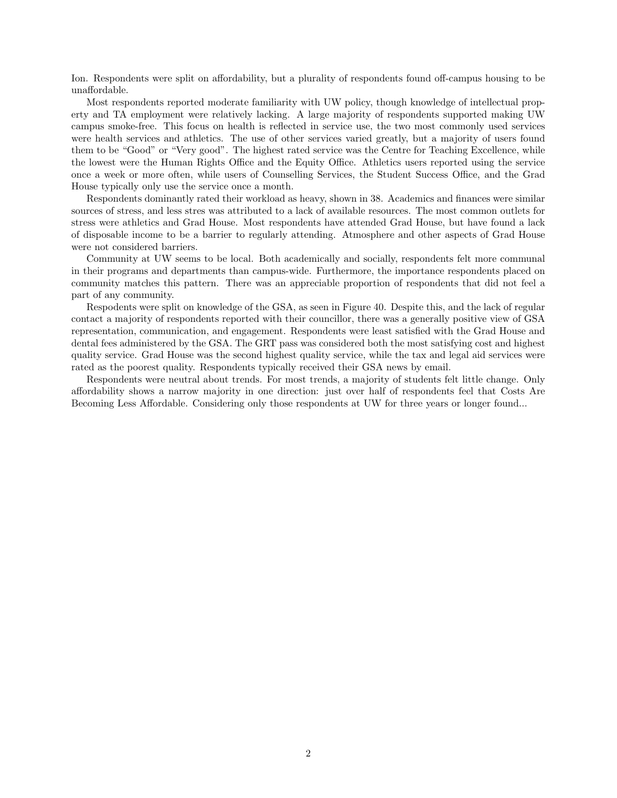Ion. Respondents were split on affordability, but a plurality of respondents found off-campus housing to be unaffordable.

Most respondents reported moderate familiarity with UW policy, though knowledge of intellectual property and TA employment were relatively lacking. A large majority of respondents supported making UW campus smoke-free. This focus on health is reflected in service use, the two most commonly used services were health services and athletics. The use of other services varied greatly, but a majority of users found them to be "Good" or "Very good". The highest rated service was the Centre for Teaching Excellence, while the lowest were the Human Rights Office and the Equity Office. Athletics users reported using the service once a week or more often, while users of Counselling Services, the Student Success Office, and the Grad House typically only use the service once a month.

Respondents dominantly rated their workload as heavy, shown in [38.](#page-42-1) Academics and finances were similar sources of stress, and less stres was attributed to a lack of available resources. The most common outlets for stress were athletics and Grad House. Most respondents have attended Grad House, but have found a lack of disposable income to be a barrier to regularly attending. Atmosphere and other aspects of Grad House were not considered barriers.

Community at UW seems to be local. Both academically and socially, respondents felt more communal in their programs and departments than campus-wide. Furthermore, the importance respondents placed on community matches this pattern. There was an appreciable proportion of respondents that did not feel a part of any community.

Respodents were split on knowledge of the GSA, as seen in Figure [40.](#page-43-0) Despite this, and the lack of regular contact a majority of respondents reported with their councillor, there was a generally positive view of GSA representation, communication, and engagement. Respondents were least satisfied with the Grad House and dental fees administered by the GSA. The GRT pass was considered both the most satisfying cost and highest quality service. Grad House was the second highest quality service, while the tax and legal aid services were rated as the poorest quality. Respondents typically received their GSA news by email.

Respondents were neutral about trends. For most trends, a majority of students felt little change. Only affordability shows a narrow majority in one direction: just over half of respondents feel that Costs Are Becoming Less Affordable. Considering only those respondents at UW for three years or longer found...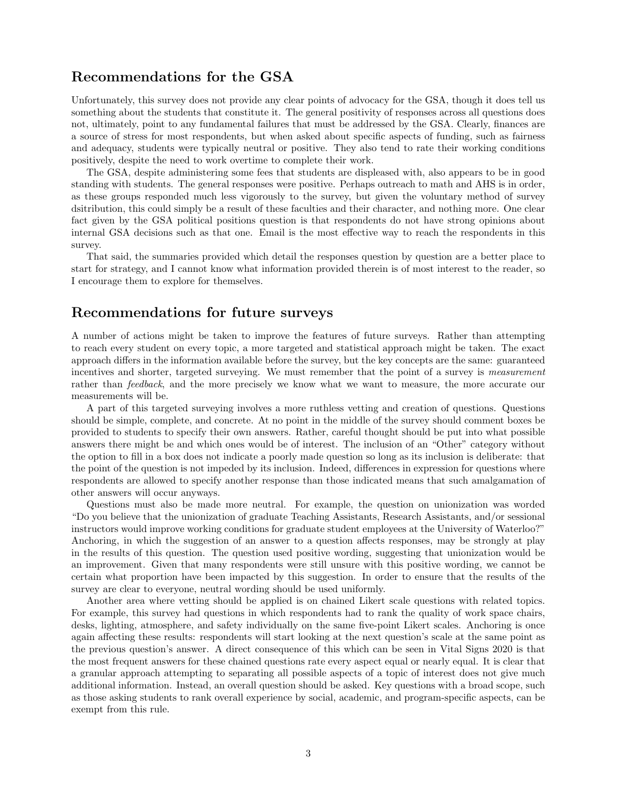## Recommendations for the GSA

Unfortunately, this survey does not provide any clear points of advocacy for the GSA, though it does tell us something about the students that constitute it. The general positivity of responses across all questions does not, ultimately, point to any fundamental failures that must be addressed by the GSA. Clearly, finances are a source of stress for most respondents, but when asked about specific aspects of funding, such as fairness and adequacy, students were typically neutral or positive. They also tend to rate their working conditions positively, despite the need to work overtime to complete their work.

The GSA, despite administering some fees that students are displeased with, also appears to be in good standing with students. The general responses were positive. Perhaps outreach to math and AHS is in order, as these groups responded much less vigorously to the survey, but given the voluntary method of survey dsitribution, this could simply be a result of these faculties and their character, and nothing more. One clear fact given by the GSA political positions question is that respondents do not have strong opinions about internal GSA decisions such as that one. Email is the most effective way to reach the respondents in this survey.

That said, the summaries provided which detail the responses question by question are a better place to start for strategy, and I cannot know what information provided therein is of most interest to the reader, so I encourage them to explore for themselves.

## Recommendations for future surveys

A number of actions might be taken to improve the features of future surveys. Rather than attempting to reach every student on every topic, a more targeted and statistical approach might be taken. The exact approach differs in the information available before the survey, but the key concepts are the same: guaranteed incentives and shorter, targeted surveying. We must remember that the point of a survey is measurement rather than feedback, and the more precisely we know what we want to measure, the more accurate our measurements will be.

A part of this targeted surveying involves a more ruthless vetting and creation of questions. Questions should be simple, complete, and concrete. At no point in the middle of the survey should comment boxes be provided to students to specify their own answers. Rather, careful thought should be put into what possible answers there might be and which ones would be of interest. The inclusion of an "Other" category without the option to fill in a box does not indicate a poorly made question so long as its inclusion is deliberate: that the point of the question is not impeded by its inclusion. Indeed, differences in expression for questions where respondents are allowed to specify another response than those indicated means that such amalgamation of other answers will occur anyways.

Questions must also be made more neutral. For example, the question on unionization was worded "Do you believe that the unionization of graduate Teaching Assistants, Research Assistants, and/or sessional instructors would improve working conditions for graduate student employees at the University of Waterloo?" Anchoring, in which the suggestion of an answer to a question affects responses, may be strongly at play in the results of this question. The question used positive wording, suggesting that unionization would be an improvement. Given that many respondents were still unsure with this positive wording, we cannot be certain what proportion have been impacted by this suggestion. In order to ensure that the results of the survey are clear to everyone, neutral wording should be used uniformly.

Another area where vetting should be applied is on chained Likert scale questions with related topics. For example, this survey had questions in which respondents had to rank the quality of work space chairs, desks, lighting, atmosphere, and safety individually on the same five-point Likert scales. Anchoring is once again affecting these results: respondents will start looking at the next question's scale at the same point as the previous question's answer. A direct consequence of this which can be seen in Vital Signs 2020 is that the most frequent answers for these chained questions rate every aspect equal or nearly equal. It is clear that a granular approach attempting to separating all possible aspects of a topic of interest does not give much additional information. Instead, an overall question should be asked. Key questions with a broad scope, such as those asking students to rank overall experience by social, academic, and program-specific aspects, can be exempt from this rule.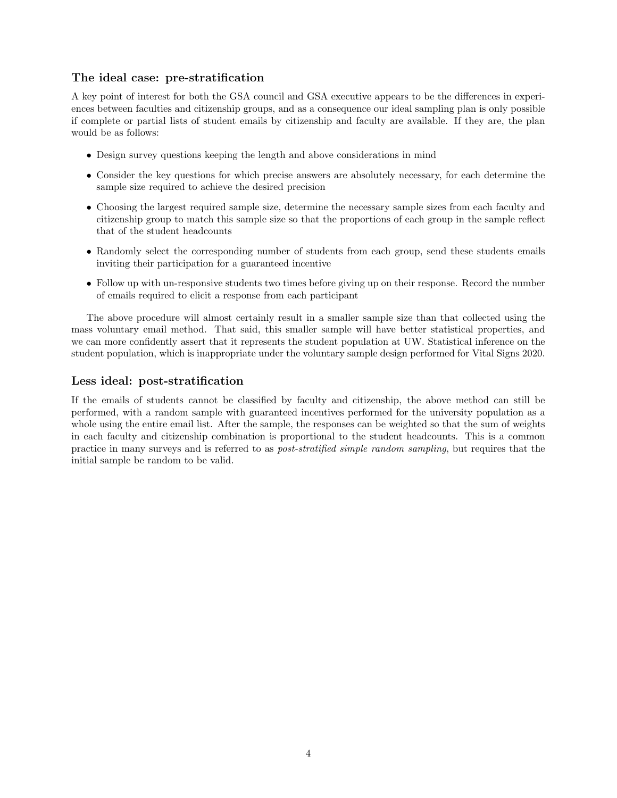## The ideal case: pre-stratification

A key point of interest for both the GSA council and GSA executive appears to be the differences in experiences between faculties and citizenship groups, and as a consequence our ideal sampling plan is only possible if complete or partial lists of student emails by citizenship and faculty are available. If they are, the plan would be as follows:

- Design survey questions keeping the length and above considerations in mind
- Consider the key questions for which precise answers are absolutely necessary, for each determine the sample size required to achieve the desired precision
- Choosing the largest required sample size, determine the necessary sample sizes from each faculty and citizenship group to match this sample size so that the proportions of each group in the sample reflect that of the student headcounts
- Randomly select the corresponding number of students from each group, send these students emails inviting their participation for a guaranteed incentive
- Follow up with un-responsive students two times before giving up on their response. Record the number of emails required to elicit a response from each participant

The above procedure will almost certainly result in a smaller sample size than that collected using the mass voluntary email method. That said, this smaller sample will have better statistical properties, and we can more confidently assert that it represents the student population at UW. Statistical inference on the student population, which is inappropriate under the voluntary sample design performed for Vital Signs 2020.

## Less ideal: post-stratification

If the emails of students cannot be classified by faculty and citizenship, the above method can still be performed, with a random sample with guaranteed incentives performed for the university population as a whole using the entire email list. After the sample, the responses can be weighted so that the sum of weights in each faculty and citizenship combination is proportional to the student headcounts. This is a common practice in many surveys and is referred to as post-stratified simple random sampling, but requires that the initial sample be random to be valid.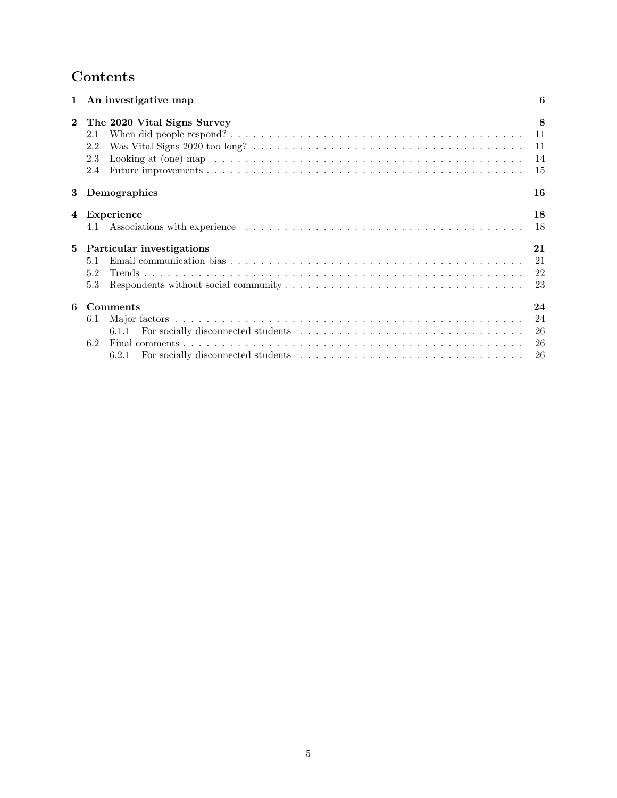# Contents

|              | 1 An investigative map                                  | 6                            |
|--------------|---------------------------------------------------------|------------------------------|
| $\mathbf{2}$ | The 2020 Vital Signs Survey<br>2.1<br>2.2<br>2.3<br>2.4 | 8<br>$-11$<br>11<br>14<br>15 |
| 3            | Demographics                                            | 16                           |
| 4            | Experience<br>4.1                                       | 18<br>18                     |
| 5            | Particular investigations                               | 21                           |
|              | 5.1<br>5.2<br>5.3                                       | 21<br>23                     |
| 6            | Comments                                                | 24                           |
|              | 6.1<br>6.1.1<br>6.2                                     | 24<br>26                     |
|              |                                                         | 26                           |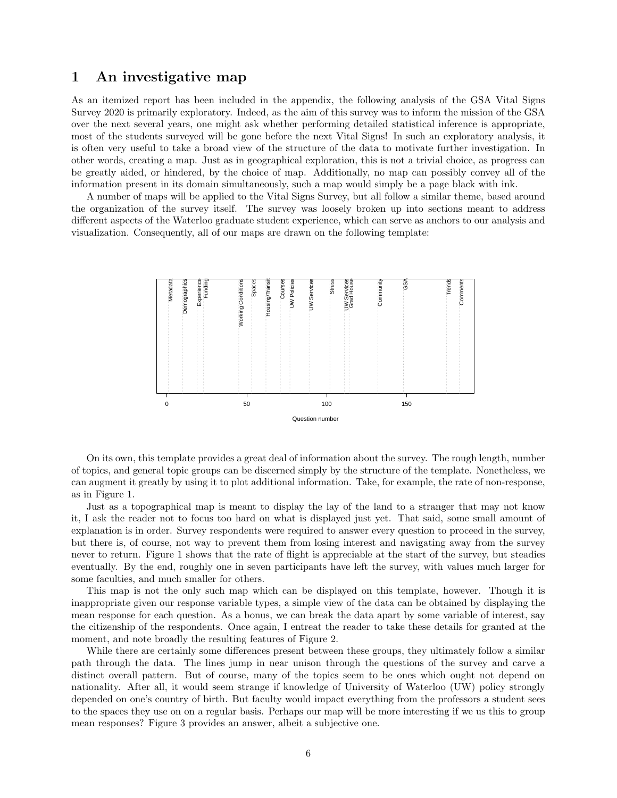## <span id="page-5-0"></span>1 An investigative map

As an itemized report has been included in the appendix, the following analysis of the GSA Vital Signs Survey 2020 is primarily exploratory. Indeed, as the aim of this survey was to inform the mission of the GSA over the next several years, one might ask whether performing detailed statistical inference is appropriate, most of the students surveyed will be gone before the next Vital Signs! In such an exploratory analysis, it is often very useful to take a broad view of the structure of the data to motivate further investigation. In other words, creating a map. Just as in geographical exploration, this is not a trivial choice, as progress can be greatly aided, or hindered, by the choice of map. Additionally, no map can possibly convey all of the information present in its domain simultaneously, such a map would simply be a page black with ink.

A number of maps will be applied to the Vital Signs Survey, but all follow a similar theme, based around the organization of the survey itself. The survey was loosely broken up into sections meant to address different aspects of the Waterloo graduate student experience, which can serve as anchors to our analysis and visualization. Consequently, all of our maps are drawn on the following template:



On its own, this template provides a great deal of information about the survey. The rough length, number of topics, and general topic groups can be discerned simply by the structure of the template. Nonetheless, we can augment it greatly by using it to plot additional information. Take, for example, the rate of non-response, as in Figure [1.](#page-6-0)

Just as a topographical map is meant to display the lay of the land to a stranger that may not know it, I ask the reader not to focus too hard on what is displayed just yet. That said, some small amount of explanation is in order. Survey respondents were required to answer every question to proceed in the survey, but there is, of course, not way to prevent them from losing interest and navigating away from the survey never to return. Figure [1](#page-6-0) shows that the rate of flight is appreciable at the start of the survey, but steadies eventually. By the end, roughly one in seven participants have left the survey, with values much larger for some faculties, and much smaller for others.

This map is not the only such map which can be displayed on this template, however. Though it is inappropriate given our response variable types, a simple view of the data can be obtained by displaying the mean response for each question. As a bonus, we can break the data apart by some variable of interest, say the citizenship of the respondents. Once again, I entreat the reader to take these details for granted at the moment, and note broadly the resulting features of Figure [2.](#page-6-1)

While there are certainly some differences present between these groups, they ultimately follow a similar path through the data. The lines jump in near unison through the questions of the survey and carve a distinct overall pattern. But of course, many of the topics seem to be ones which ought not depend on nationality. After all, it would seem strange if knowledge of University of Waterloo (UW) policy strongly depended on one's country of birth. But faculty would impact everything from the professors a student sees to the spaces they use on on a regular basis. Perhaps our map will be more interesting if we us this to group mean responses? Figure [3](#page-7-0) provides an answer, albeit a subjective one.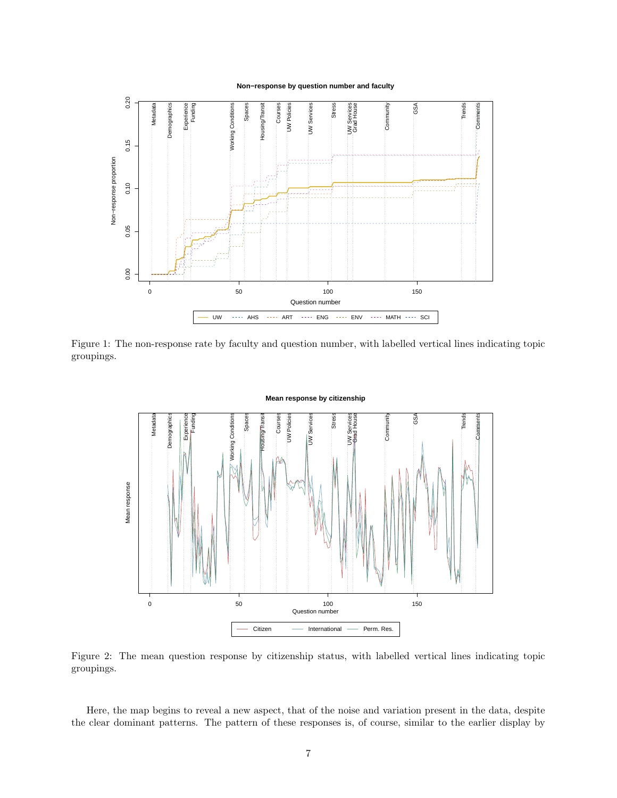**Non−response by question number and faculty**



<span id="page-6-0"></span>Figure 1: The non-response rate by faculty and question number, with labelled vertical lines indicating topic groupings.



<span id="page-6-1"></span>Figure 2: The mean question response by citizenship status, with labelled vertical lines indicating topic groupings.

Here, the map begins to reveal a new aspect, that of the noise and variation present in the data, despite the clear dominant patterns. The pattern of these responses is, of course, similar to the earlier display by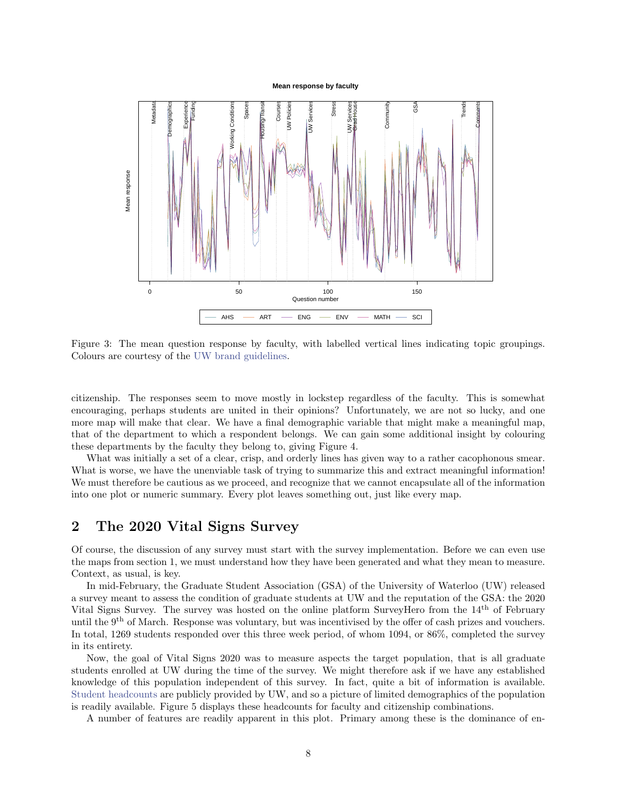#### **Mean response by faculty**



<span id="page-7-0"></span>Figure 3: The mean question response by faculty, with labelled vertical lines indicating topic groupings. Colours are courtesy of the [UW brand guidelines.](https://uwaterloo.ca/brand/colour-palette)

citizenship. The responses seem to move mostly in lockstep regardless of the faculty. This is somewhat encouraging, perhaps students are united in their opinions? Unfortunately, we are not so lucky, and one more map will make that clear. We have a final demographic variable that might make a meaningful map, that of the department to which a respondent belongs. We can gain some additional insight by colouring these departments by the faculty they belong to, giving Figure [4.](#page-8-0)

What was initially a set of a clear, crisp, and orderly lines has given way to a rather cacophonous smear. What is worse, we have the unenviable task of trying to summarize this and extract meaningful information! We must therefore be cautious as we proceed, and recognize that we cannot encapsulate all of the information into one plot or numeric summary. Every plot leaves something out, just like every map.

## <span id="page-7-1"></span>2 The 2020 Vital Signs Survey

Of course, the discussion of any survey must start with the survey implementation. Before we can even use the maps from section [1,](#page-5-0) we must understand how they have been generated and what they mean to measure. Context, as usual, is key.

In mid-February, the Graduate Student Association (GSA) of the University of Waterloo (UW) released a survey meant to assess the condition of graduate students at UW and the reputation of the GSA: the 2020 Vital Signs Survey. The survey was hosted on the online platform SurveyHero from the 14th of February until the  $9<sup>th</sup>$  of March. Response was voluntary, but was incentivised by the offer of cash prizes and vouchers. In total, 1269 students responded over this three week period, of whom 1094, or 86%, completed the survey in its entirety.

Now, the goal of Vital Signs 2020 was to measure aspects the target population, that is all graduate students enrolled at UW during the time of the survey. We might therefore ask if we have any established knowledge of this population independent of this survey. In fact, quite a bit of information is available. [Student headcounts](https://uwaterloo.ca/institutional-analysis-planning/university-data-and-statistics/student-data/student-headcounts) are publicly provided by UW, and so a picture of limited demographics of the population is readily available. Figure [5](#page-8-1) displays these headcounts for faculty and citizenship combinations.

A number of features are readily apparent in this plot. Primary among these is the dominance of en-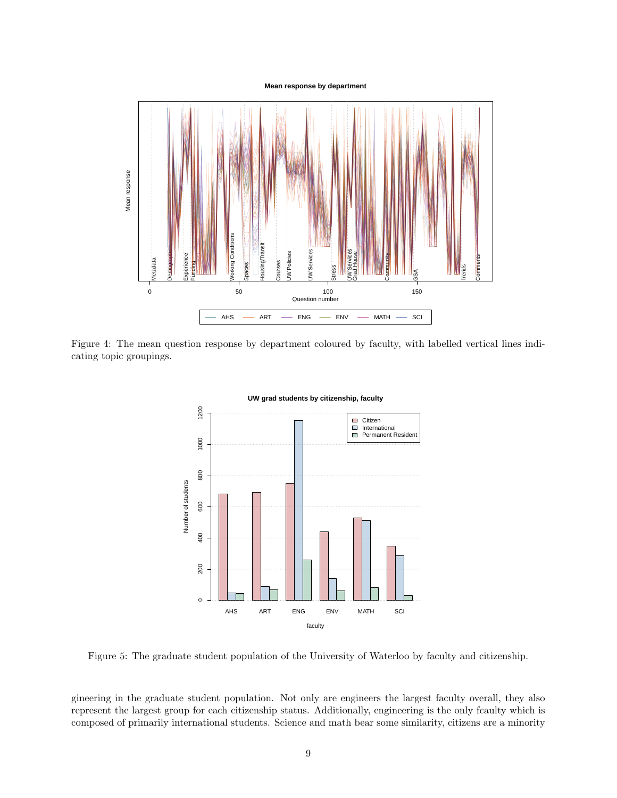#### **Mean response by department**



<span id="page-8-0"></span>Figure 4: The mean question response by department coloured by faculty, with labelled vertical lines indicating topic groupings.



**UW grad students by citizenship, faculty**

<span id="page-8-1"></span>Figure 5: The graduate student population of the University of Waterloo by faculty and citizenship.

gineering in the graduate student population. Not only are engineers the largest faculty overall, they also represent the largest group for each citizenship status. Additionally, engineering is the only fcaulty which is composed of primarily international students. Science and math bear some similarity, citizens are a minority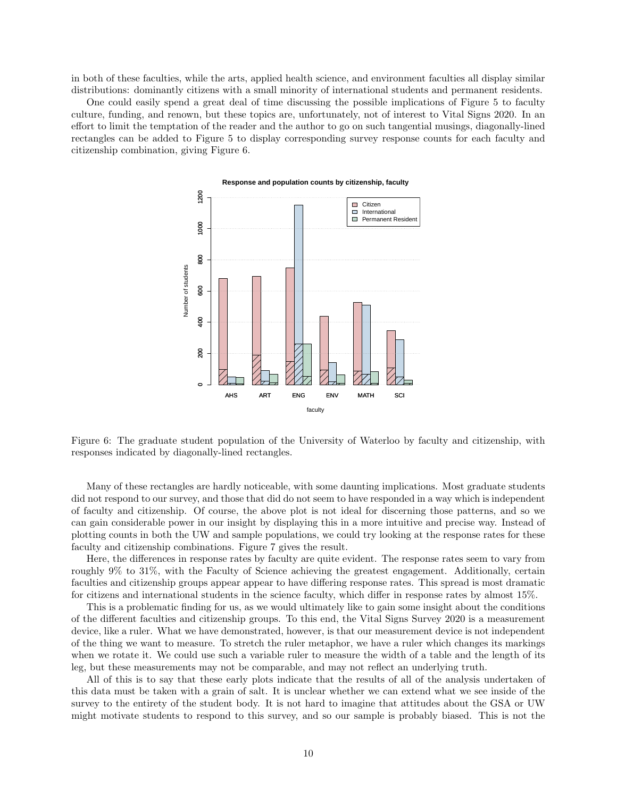in both of these faculties, while the arts, applied health science, and environment faculties all display similar distributions: dominantly citizens with a small minority of international students and permanent residents.

One could easily spend a great deal of time discussing the possible implications of Figure [5](#page-8-1) to faculty culture, funding, and renown, but these topics are, unfortunately, not of interest to Vital Signs 2020. In an effort to limit the temptation of the reader and the author to go on such tangential musings, diagonally-lined rectangles can be added to Figure [5](#page-8-1) to display corresponding survey response counts for each faculty and citizenship combination, giving Figure [6.](#page-9-0)



<span id="page-9-0"></span>Figure 6: The graduate student population of the University of Waterloo by faculty and citizenship, with responses indicated by diagonally-lined rectangles.

Many of these rectangles are hardly noticeable, with some daunting implications. Most graduate students did not respond to our survey, and those that did do not seem to have responded in a way which is independent of faculty and citizenship. Of course, the above plot is not ideal for discerning those patterns, and so we can gain considerable power in our insight by displaying this in a more intuitive and precise way. Instead of plotting counts in both the UW and sample populations, we could try looking at the response rates for these faculty and citizenship combinations. Figure [7](#page-10-0) gives the result.

Here, the differences in response rates by faculty are quite evident. The response rates seem to vary from roughly 9% to 31%, with the Faculty of Science achieving the greatest engagement. Additionally, certain faculties and citizenship groups appear appear to have differing response rates. This spread is most dramatic for citizens and international students in the science faculty, which differ in response rates by almost 15%.

This is a problematic finding for us, as we would ultimately like to gain some insight about the conditions of the different faculties and citizenship groups. To this end, the Vital Signs Survey 2020 is a measurement device, like a ruler. What we have demonstrated, however, is that our measurement device is not independent of the thing we want to measure. To stretch the ruler metaphor, we have a ruler which changes its markings when we rotate it. We could use such a variable ruler to measure the width of a table and the length of its leg, but these measurements may not be comparable, and may not reflect an underlying truth.

All of this is to say that these early plots indicate that the results of all of the analysis undertaken of this data must be taken with a grain of salt. It is unclear whether we can extend what we see inside of the survey to the entirety of the student body. It is not hard to imagine that attitudes about the GSA or UW might motivate students to respond to this survey, and so our sample is probably biased. This is not the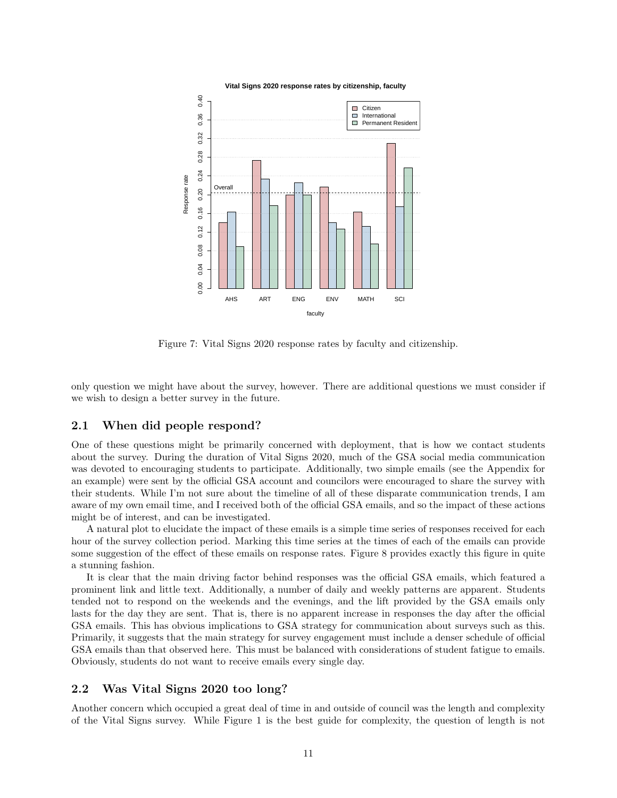

<span id="page-10-0"></span>Figure 7: Vital Signs 2020 response rates by faculty and citizenship.

only question we might have about the survey, however. There are additional questions we must consider if we wish to design a better survey in the future.

## <span id="page-10-1"></span>2.1 When did people respond?

One of these questions might be primarily concerned with deployment, that is how we contact students about the survey. During the duration of Vital Signs 2020, much of the GSA social media communication was devoted to encouraging students to participate. Additionally, two simple emails (see the Appendix for an example) were sent by the official GSA account and councilors were encouraged to share the survey with their students. While I'm not sure about the timeline of all of these disparate communication trends, I am aware of my own email time, and I received both of the official GSA emails, and so the impact of these actions might be of interest, and can be investigated.

A natural plot to elucidate the impact of these emails is a simple time series of responses received for each hour of the survey collection period. Marking this time series at the times of each of the emails can provide some suggestion of the effect of these emails on response rates. Figure [8](#page-11-1) provides exactly this figure in quite a stunning fashion.

It is clear that the main driving factor behind responses was the official GSA emails, which featured a prominent link and little text. Additionally, a number of daily and weekly patterns are apparent. Students tended not to respond on the weekends and the evenings, and the lift provided by the GSA emails only lasts for the day they are sent. That is, there is no apparent increase in responses the day after the official GSA emails. This has obvious implications to GSA strategy for communication about surveys such as this. Primarily, it suggests that the main strategy for survey engagement must include a denser schedule of official GSA emails than that observed here. This must be balanced with considerations of student fatigue to emails. Obviously, students do not want to receive emails every single day.

### <span id="page-10-2"></span>2.2 Was Vital Signs 2020 too long?

Another concern which occupied a great deal of time in and outside of council was the length and complexity of the Vital Signs survey. While Figure [1](#page-6-0) is the best guide for complexity, the question of length is not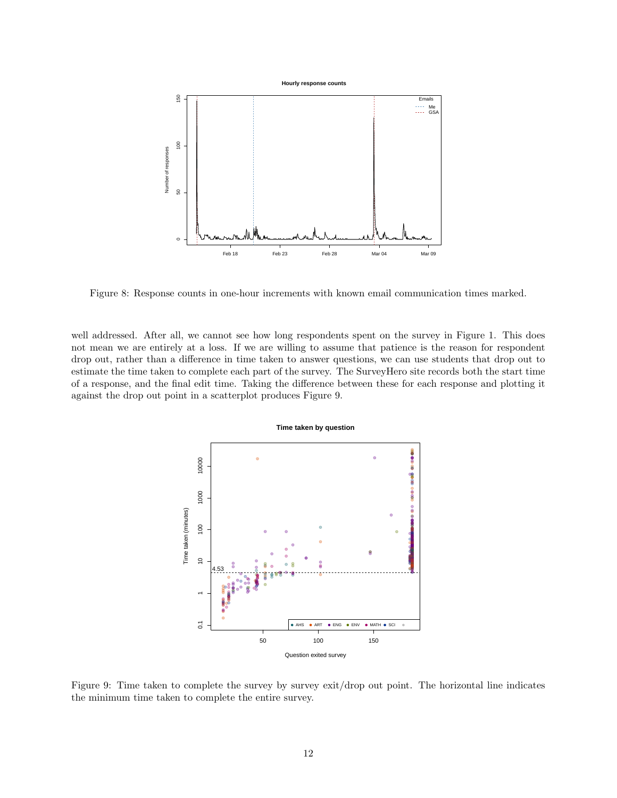

<span id="page-11-1"></span>Figure 8: Response counts in one-hour increments with known email communication times marked.

well addressed. After all, we cannot see how long respondents spent on the survey in Figure [1.](#page-6-0) This does not mean we are entirely at a loss. If we are willing to assume that patience is the reason for respondent drop out, rather than a difference in time taken to answer questions, we can use students that drop out to estimate the time taken to complete each part of the survey. The SurveyHero site records both the start time of a response, and the final edit time. Taking the difference between these for each response and plotting it against the drop out point in a scatterplot produces Figure [9.](#page-11-0)



<span id="page-11-0"></span>Figure 9: Time taken to complete the survey by survey exit/drop out point. The horizontal line indicates the minimum time taken to complete the entire survey.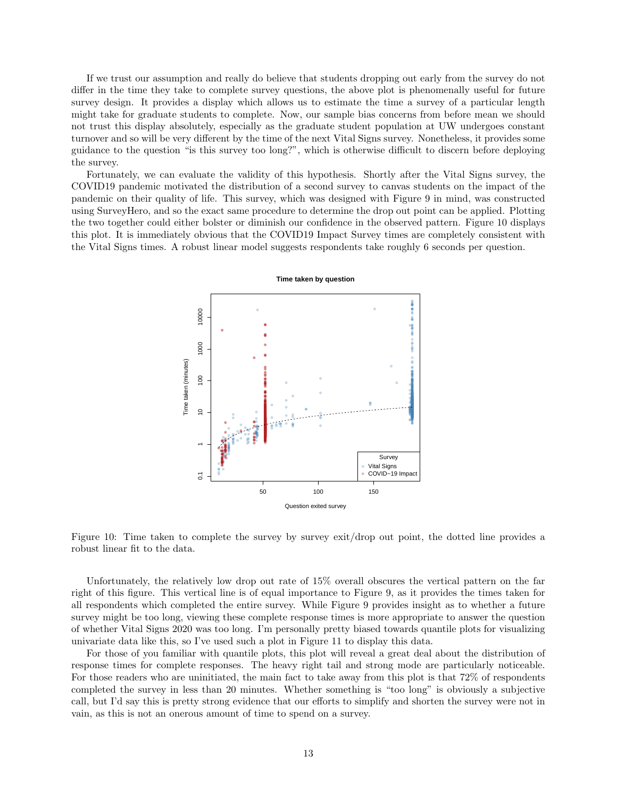If we trust our assumption and really do believe that students dropping out early from the survey do not differ in the time they take to complete survey questions, the above plot is phenomenally useful for future survey design. It provides a display which allows us to estimate the time a survey of a particular length might take for graduate students to complete. Now, our sample bias concerns from before mean we should not trust this display absolutely, especially as the graduate student population at UW undergoes constant turnover and so will be very different by the time of the next Vital Signs survey. Nonetheless, it provides some guidance to the question "is this survey too long?", which is otherwise difficult to discern before deploying the survey.

Fortunately, we can evaluate the validity of this hypothesis. Shortly after the Vital Signs survey, the COVID19 pandemic motivated the distribution of a second survey to canvas students on the impact of the pandemic on their quality of life. This survey, which was designed with Figure [9](#page-11-0) in mind, was constructed using SurveyHero, and so the exact same procedure to determine the drop out point can be applied. Plotting the two together could either bolster or diminish our confidence in the observed pattern. Figure [10](#page-12-0) displays this plot. It is immediately obvious that the COVID19 Impact Survey times are completely consistent with the Vital Signs times. A robust linear model suggests respondents take roughly 6 seconds per question.



<span id="page-12-0"></span>Figure 10: Time taken to complete the survey by survey exit/drop out point, the dotted line provides a robust linear fit to the data.

Unfortunately, the relatively low drop out rate of 15% overall obscures the vertical pattern on the far right of this figure. This vertical line is of equal importance to Figure [9,](#page-11-0) as it provides the times taken for all respondents which completed the entire survey. While Figure [9](#page-11-0) provides insight as to whether a future survey might be too long, viewing these complete response times is more appropriate to answer the question of whether Vital Signs 2020 was too long. I'm personally pretty biased towards quantile plots for visualizing univariate data like this, so I've used such a plot in Figure [11](#page-13-1) to display this data.

For those of you familiar with quantile plots, this plot will reveal a great deal about the distribution of response times for complete responses. The heavy right tail and strong mode are particularly noticeable. For those readers who are uninitiated, the main fact to take away from this plot is that 72% of respondents completed the survey in less than 20 minutes. Whether something is "too long" is obviously a subjective call, but I'd say this is pretty strong evidence that our efforts to simplify and shorten the survey were not in vain, as this is not an onerous amount of time to spend on a survey.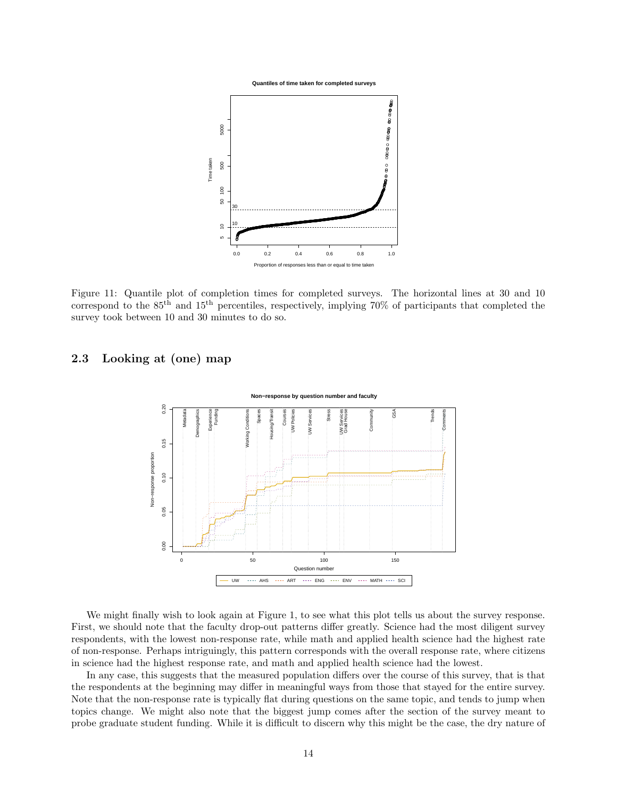



<span id="page-13-1"></span>Figure 11: Quantile plot of completion times for completed surveys. The horizontal lines at 30 and 10 correspond to the  $85<sup>th</sup>$  and  $15<sup>th</sup>$  percentiles, respectively, implying 70% of participants that completed the survey took between 10 and 30 minutes to do so.

## <span id="page-13-0"></span>2.3 Looking at (one) map



We might finally wish to look again at Figure [1,](#page-6-0) to see what this plot tells us about the survey response. First, we should note that the faculty drop-out patterns differ greatly. Science had the most diligent survey respondents, with the lowest non-response rate, while math and applied health science had the highest rate of non-response. Perhaps intriguingly, this pattern corresponds with the overall response rate, where citizens in science had the highest response rate, and math and applied health science had the lowest.

In any case, this suggests that the measured population differs over the course of this survey, that is that the respondents at the beginning may differ in meaningful ways from those that stayed for the entire survey. Note that the non-response rate is typically flat during questions on the same topic, and tends to jump when topics change. We might also note that the biggest jump comes after the section of the survey meant to probe graduate student funding. While it is difficult to discern why this might be the case, the dry nature of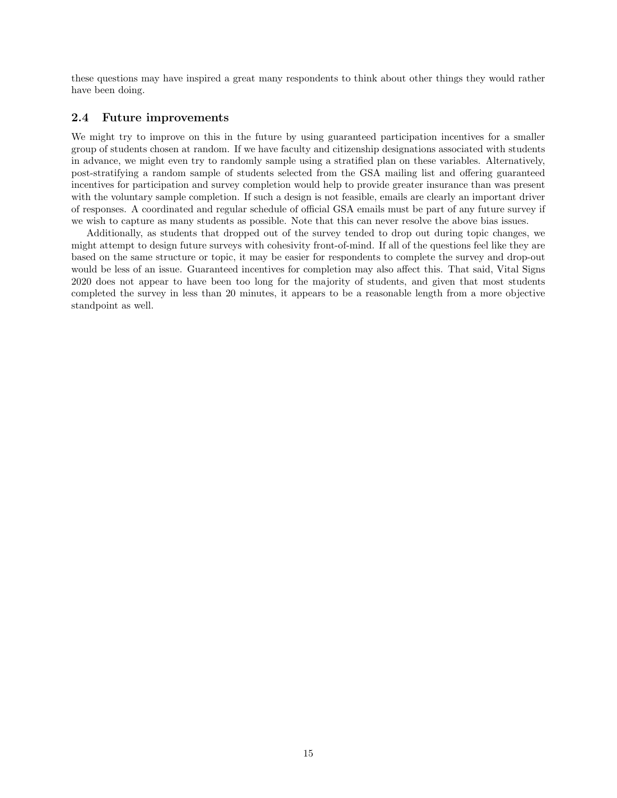these questions may have inspired a great many respondents to think about other things they would rather have been doing.

## <span id="page-14-0"></span>2.4 Future improvements

We might try to improve on this in the future by using guaranteed participation incentives for a smaller group of students chosen at random. If we have faculty and citizenship designations associated with students in advance, we might even try to randomly sample using a stratified plan on these variables. Alternatively, post-stratifying a random sample of students selected from the GSA mailing list and offering guaranteed incentives for participation and survey completion would help to provide greater insurance than was present with the voluntary sample completion. If such a design is not feasible, emails are clearly an important driver of responses. A coordinated and regular schedule of official GSA emails must be part of any future survey if we wish to capture as many students as possible. Note that this can never resolve the above bias issues.

Additionally, as students that dropped out of the survey tended to drop out during topic changes, we might attempt to design future surveys with cohesivity front-of-mind. If all of the questions feel like they are based on the same structure or topic, it may be easier for respondents to complete the survey and drop-out would be less of an issue. Guaranteed incentives for completion may also affect this. That said, Vital Signs 2020 does not appear to have been too long for the majority of students, and given that most students completed the survey in less than 20 minutes, it appears to be a reasonable length from a more objective standpoint as well.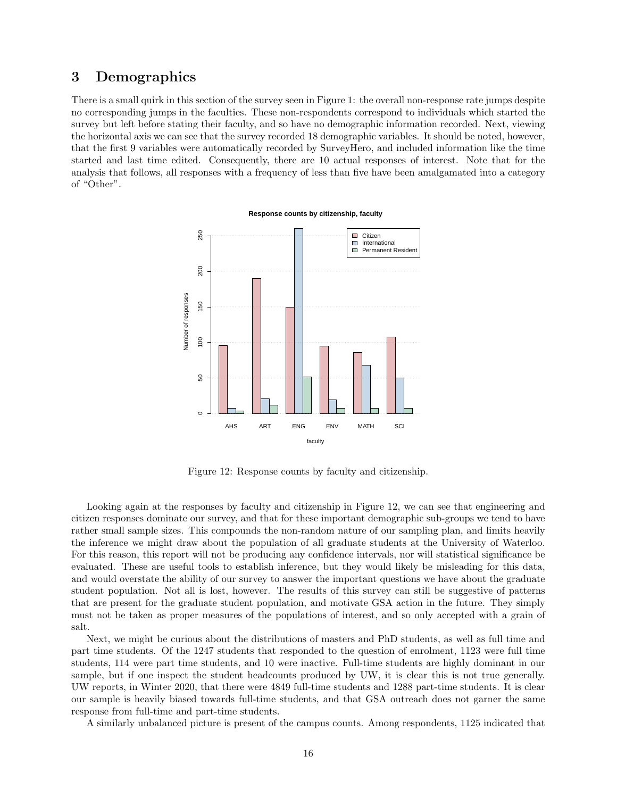## <span id="page-15-0"></span>3 Demographics

There is a small quirk in this section of the survey seen in Figure [1:](#page-6-0) the overall non-response rate jumps despite no corresponding jumps in the faculties. These non-respondents correspond to individuals which started the survey but left before stating their faculty, and so have no demographic information recorded. Next, viewing the horizontal axis we can see that the survey recorded 18 demographic variables. It should be noted, however, that the first 9 variables were automatically recorded by SurveyHero, and included information like the time started and last time edited. Consequently, there are 10 actual responses of interest. Note that for the analysis that follows, all responses with a frequency of less than five have been amalgamated into a category of "Other".



#### **Response counts by citizenship, faculty**

<span id="page-15-1"></span>Figure 12: Response counts by faculty and citizenship.

Looking again at the responses by faculty and citizenship in Figure [12,](#page-15-1) we can see that engineering and citizen responses dominate our survey, and that for these important demographic sub-groups we tend to have rather small sample sizes. This compounds the non-random nature of our sampling plan, and limits heavily the inference we might draw about the population of all graduate students at the University of Waterloo. For this reason, this report will not be producing any confidence intervals, nor will statistical significance be evaluated. These are useful tools to establish inference, but they would likely be misleading for this data, and would overstate the ability of our survey to answer the important questions we have about the graduate student population. Not all is lost, however. The results of this survey can still be suggestive of patterns that are present for the graduate student population, and motivate GSA action in the future. They simply must not be taken as proper measures of the populations of interest, and so only accepted with a grain of salt.

Next, we might be curious about the distributions of masters and PhD students, as well as full time and part time students. Of the 1247 students that responded to the question of enrolment, 1123 were full time students, 114 were part time students, and 10 were inactive. Full-time students are highly dominant in our sample, but if one inspect the student headcounts produced by UW, it is clear this is not true generally. UW reports, in Winter 2020, that there were 4849 full-time students and 1288 part-time students. It is clear our sample is heavily biased towards full-time students, and that GSA outreach does not garner the same response from full-time and part-time students.

A similarly unbalanced picture is present of the campus counts. Among respondents, 1125 indicated that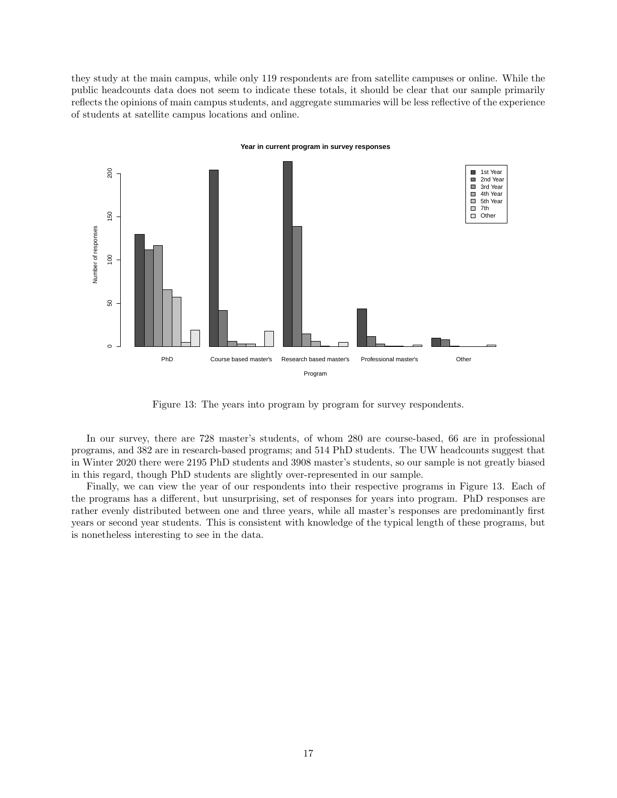they study at the main campus, while only 119 respondents are from satellite campuses or online. While the public headcounts data does not seem to indicate these totals, it should be clear that our sample primarily reflects the opinions of main campus students, and aggregate summaries will be less reflective of the experience of students at satellite campus locations and online.



**Year in current program in survey responses**

<span id="page-16-0"></span>Figure 13: The years into program by program for survey respondents.

In our survey, there are 728 master's students, of whom 280 are course-based, 66 are in professional programs, and 382 are in research-based programs; and 514 PhD students. The UW headcounts suggest that in Winter 2020 there were 2195 PhD students and 3908 master's students, so our sample is not greatly biased in this regard, though PhD students are slightly over-represented in our sample.

Finally, we can view the year of our respondents into their respective programs in Figure [13.](#page-16-0) Each of the programs has a different, but unsurprising, set of responses for years into program. PhD responses are rather evenly distributed between one and three years, while all master's responses are predominantly first years or second year students. This is consistent with knowledge of the typical length of these programs, but is nonetheless interesting to see in the data.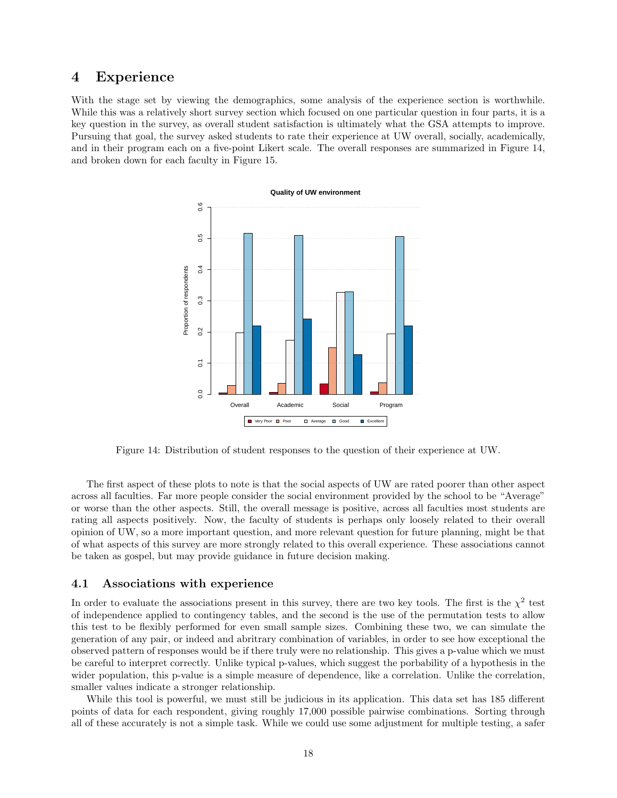## <span id="page-17-1"></span>4 Experience

With the stage set by viewing the demographics, some analysis of the experience section is worthwhile. While this was a relatively short survey section which focused on one particular question in four parts, it is a key question in the survey, as overall student satisfaction is ultimately what the GSA attempts to improve. Pursuing that goal, the survey asked students to rate their experience at UW overall, socially, academically, and in their program each on a five-point Likert scale. The overall responses are summarized in Figure [14,](#page-17-2) and broken down for each faculty in Figure [15.](#page-18-0)



<span id="page-17-2"></span>Figure 14: Distribution of student responses to the question of their experience at UW.

The first aspect of these plots to note is that the social aspects of UW are rated poorer than other aspect across all faculties. Far more people consider the social environment provided by the school to be "Average" or worse than the other aspects. Still, the overall message is positive, across all faculties most students are rating all aspects positively. Now, the faculty of students is perhaps only loosely related to their overall opinion of UW, so a more important question, and more relevant question for future planning, might be that of what aspects of this survey are more strongly related to this overall experience. These associations cannot be taken as gospel, but may provide guidance in future decision making.

### <span id="page-17-0"></span>4.1 Associations with experience

In order to evaluate the associations present in this survey, there are two key tools. The first is the  $\chi^2$  test of independence applied to contingency tables, and the second is the use of the permutation tests to allow this test to be flexibly performed for even small sample sizes. Combining these two, we can simulate the generation of any pair, or indeed and abritrary combination of variables, in order to see how exceptional the observed pattern of responses would be if there truly were no relationship. This gives a p-value which we must be careful to interpret correctly. Unlike typical p-values, which suggest the porbability of a hypothesis in the wider population, this p-value is a simple measure of dependence, like a correlation. Unlike the correlation, smaller values indicate a stronger relationship.

While this tool is powerful, we must still be judicious in its application. This data set has 185 different points of data for each respondent, giving roughly 17,000 possible pairwise combinations. Sorting through all of these accurately is not a simple task. While we could use some adjustment for multiple testing, a safer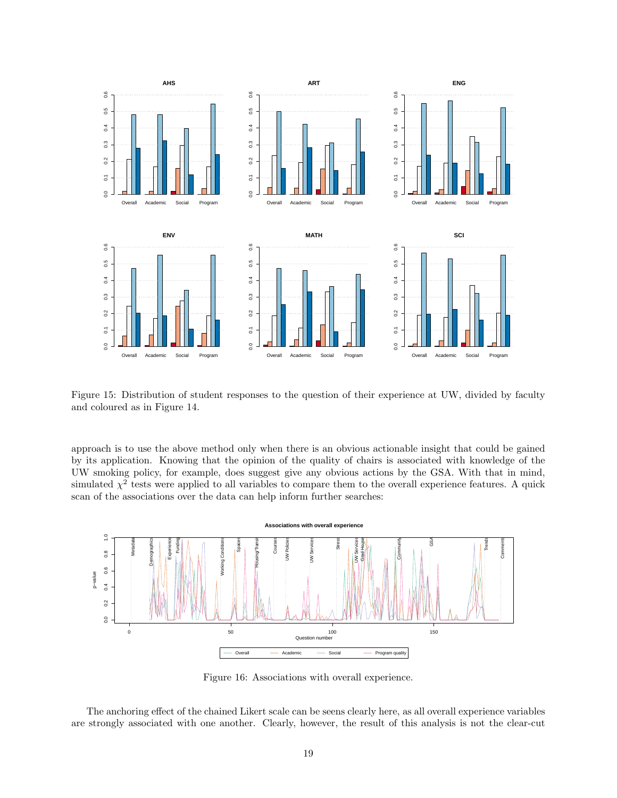

<span id="page-18-0"></span>Figure 15: Distribution of student responses to the question of their experience at UW, divided by faculty and coloured as in Figure [14.](#page-17-2)

approach is to use the above method only when there is an obvious actionable insight that could be gained by its application. Knowing that the opinion of the quality of chairs is associated with knowledge of the UW smoking policy, for example, does suggest give any obvious actions by the GSA. With that in mind, simulated  $\chi^2$  tests were applied to all variables to compare them to the overall experience features. A quick scan of the associations over the data can help inform further searches:



Figure 16: Associations with overall experience.

The anchoring effect of the chained Likert scale can be seens clearly here, as all overall experience variables are strongly associated with one another. Clearly, however, the result of this analysis is not the clear-cut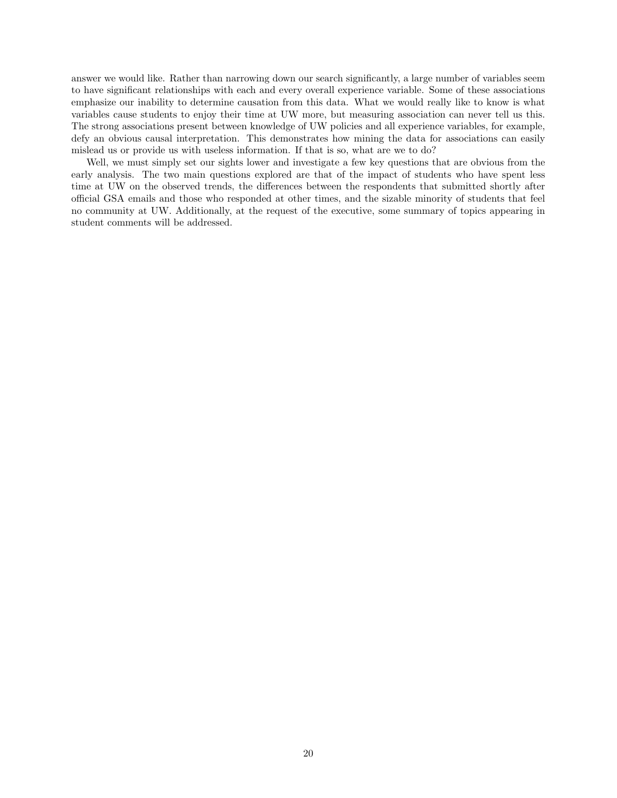answer we would like. Rather than narrowing down our search significantly, a large number of variables seem to have significant relationships with each and every overall experience variable. Some of these associations emphasize our inability to determine causation from this data. What we would really like to know is what variables cause students to enjoy their time at UW more, but measuring association can never tell us this. The strong associations present between knowledge of UW policies and all experience variables, for example, defy an obvious causal interpretation. This demonstrates how mining the data for associations can easily mislead us or provide us with useless information. If that is so, what are we to do?

Well, we must simply set our sights lower and investigate a few key questions that are obvious from the early analysis. The two main questions explored are that of the impact of students who have spent less time at UW on the observed trends, the differences between the respondents that submitted shortly after official GSA emails and those who responded at other times, and the sizable minority of students that feel no community at UW. Additionally, at the request of the executive, some summary of topics appearing in student comments will be addressed.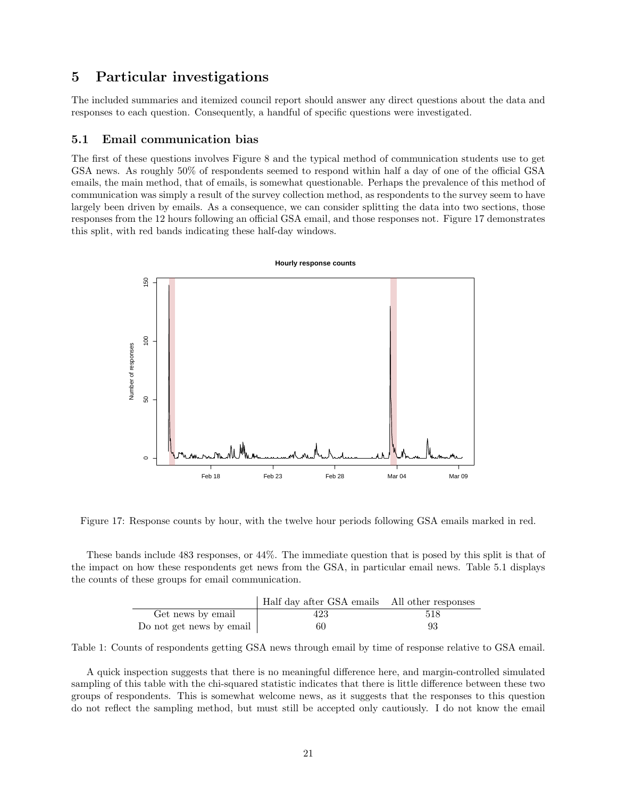## <span id="page-20-0"></span>5 Particular investigations

The included summaries and itemized council report should answer any direct questions about the data and responses to each question. Consequently, a handful of specific questions were investigated.

### <span id="page-20-1"></span>5.1 Email communication bias

The first of these questions involves Figure [8](#page-11-1) and the typical method of communication students use to get GSA news. As roughly 50% of respondents seemed to respond within half a day of one of the official GSA emails, the main method, that of emails, is somewhat questionable. Perhaps the prevalence of this method of communication was simply a result of the survey collection method, as respondents to the survey seem to have largely been driven by emails. As a consequence, we can consider splitting the data into two sections, those responses from the 12 hours following an official GSA email, and those responses not. Figure [17](#page-20-2) demonstrates this split, with red bands indicating these half-day windows.



<span id="page-20-2"></span>Figure 17: Response counts by hour, with the twelve hour periods following GSA emails marked in red.

These bands include 483 responses, or 44%. The immediate question that is posed by this split is that of the impact on how these respondents get news from the GSA, in particular email news. Table [5.1](#page-20-2) displays the counts of these groups for email communication.

|                                  | Half day after GSA emails All other responses |     |
|----------------------------------|-----------------------------------------------|-----|
| Get news by email                | 423                                           | 518 |
| Do not get news by email $\vert$ | 60                                            | 93  |

Table 1: Counts of respondents getting GSA news through email by time of response relative to GSA email.

A quick inspection suggests that there is no meaningful difference here, and margin-controlled simulated sampling of this table with the chi-squared statistic indicates that there is little difference between these two groups of respondents. This is somewhat welcome news, as it suggests that the responses to this question do not reflect the sampling method, but must still be accepted only cautiously. I do not know the email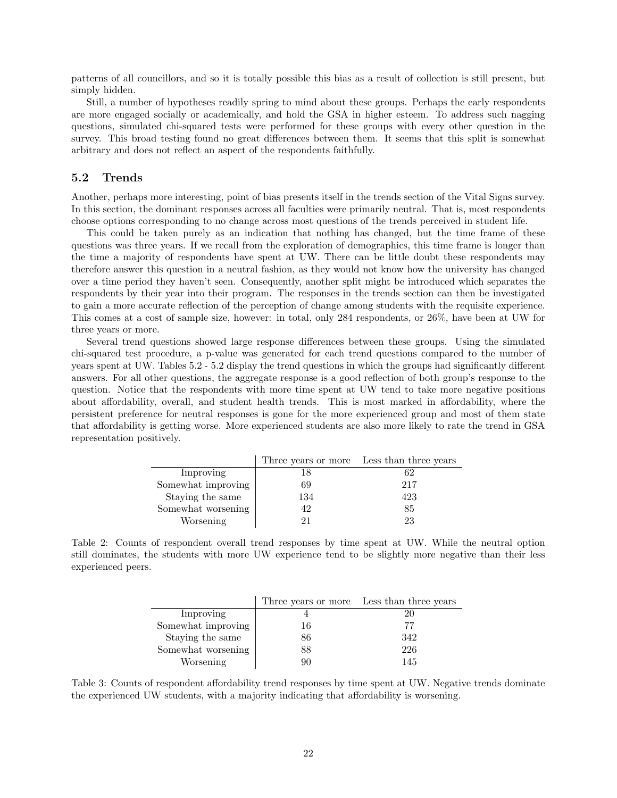patterns of all councillors, and so it is totally possible this bias as a result of collection is still present, but simply hidden.

Still, a number of hypotheses readily spring to mind about these groups. Perhaps the early respondents are more engaged socially or academically, and hold the GSA in higher esteem. To address such nagging questions, simulated chi-squared tests were performed for these groups with every other question in the survey. This broad testing found no great differences between them. It seems that this split is somewhat arbitrary and does not reflect an aspect of the respondents faithfully.

### <span id="page-21-0"></span>5.2 Trends

Another, perhaps more interesting, point of bias presents itself in the trends section of the Vital Signs survey. In this section, the dominant responses across all faculties were primarily neutral. That is, most respondents choose options corresponding to no change across most questions of the trends perceived in student life.

This could be taken purely as an indication that nothing has changed, but the time frame of these questions was three years. If we recall from the exploration of demographics, this time frame is longer than the time a majority of respondents have spent at UW. There can be little doubt these respondents may therefore answer this question in a neutral fashion, as they would not know how the university has changed over a time period they haven't seen. Consequently, another split might be introduced which separates the respondents by their year into their program. The responses in the trends section can then be investigated to gain a more accurate reflection of the perception of change among students with the requisite experience. This comes at a cost of sample size, however: in total, only 284 respondents, or 26%, have been at UW for three years or more.

Several trend questions showed large response differences between these groups. Using the simulated chi-squared test procedure, a p-value was generated for each trend questions compared to the number of years spent at UW. Tables [5.2](#page-21-0) - [5.2](#page-22-1) display the trend questions in which the groups had significantly different answers. For all other questions, the aggregate response is a good reflection of both group's response to the question. Notice that the respondents with more time spent at UW tend to take more negative positions about affordability, overall, and student health trends. This is most marked in affordability, where the persistent preference for neutral responses is gone for the more experienced group and most of them state that affordability is getting worse. More experienced students are also more likely to rate the trend in GSA representation positively.

|                    | Three years or more | Less than three years |
|--------------------|---------------------|-----------------------|
| Improving          | 18                  | 62                    |
| Somewhat improving | 69                  | 217                   |
| Staying the same   | 134                 | 423                   |
| Somewhat worsening | 42                  | 85                    |
| Worsening          | 91                  | 23                    |

Table 2: Counts of respondent overall trend responses by time spent at UW. While the neutral option still dominates, the students with more UW experience tend to be slightly more negative than their less experienced peers.

|                    |    | Three years or more Less than three years |
|--------------------|----|-------------------------------------------|
| Improving          |    | 20                                        |
| Somewhat improving | 16 | 77                                        |
| Staying the same   | 86 | 342                                       |
| Somewhat worsening | 88 | 226                                       |
| Worsening          | 90 | 145                                       |

Table 3: Counts of respondent affordability trend responses by time spent at UW. Negative trends dominate the experienced UW students, with a majority indicating that affordability is worsening.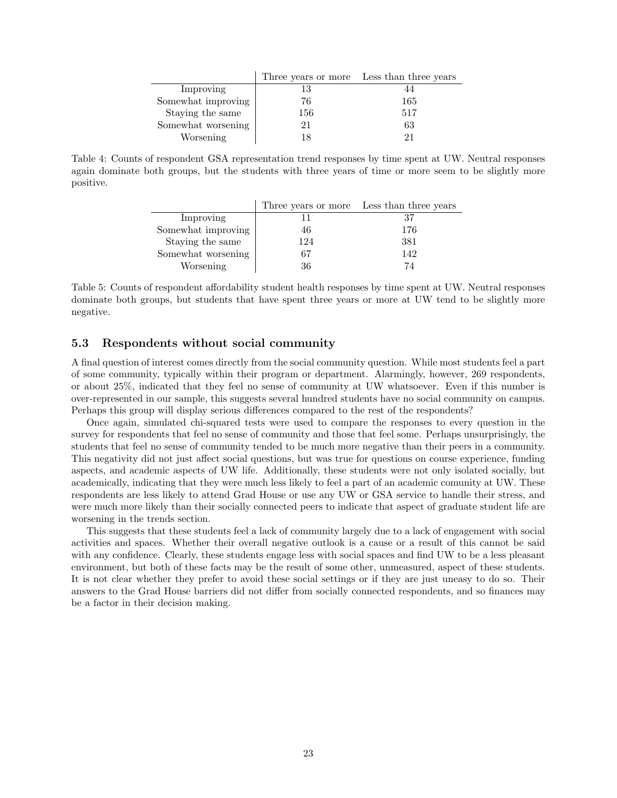|                    | Three years or more | Less than three years |
|--------------------|---------------------|-----------------------|
| Improving          | 13                  |                       |
| Somewhat improving | 76                  | 165                   |
| Staying the same   | 156                 | 517                   |
| Somewhat worsening | 21                  | 63                    |
| Worsening          | 18                  | 91                    |

<span id="page-22-1"></span>Table 4: Counts of respondent GSA representation trend responses by time spent at UW. Neutral responses again dominate both groups, but the students with three years of time or more seem to be slightly more positive.

|                    |     | Three years or more Less than three years |
|--------------------|-----|-------------------------------------------|
| Improving          |     | 37                                        |
| Somewhat improving | 46  | 176                                       |
| Staying the same   | 124 | 381                                       |
| Somewhat worsening | 67  | 142                                       |
| Worsening          | 36  | 74                                        |

Table 5: Counts of respondent affordability student health responses by time spent at UW. Neutral responses dominate both groups, but students that have spent three years or more at UW tend to be slightly more negative.

## <span id="page-22-0"></span>5.3 Respondents without social community

A final question of interest comes directly from the social community question. While most students feel a part of some community, typically within their program or department. Alarmingly, however, 269 respondents, or about 25%, indicated that they feel no sense of community at UW whatsoever. Even if this number is over-represented in our sample, this suggests several hundred students have no social community on campus. Perhaps this group will display serious differences compared to the rest of the respondents?

Once again, simulated chi-squared tests were used to compare the responses to every question in the survey for respondents that feel no sense of community and those that feel some. Perhaps unsurprisingly, the students that feel no sense of community tended to be much more negative than their peers in a community. This negativity did not just affect social questions, but was true for questions on course experience, funding aspects, and academic aspects of UW life. Additionally, these students were not only isolated socially, but academically, indicating that they were much less likely to feel a part of an academic comunity at UW. These respondents are less likely to attend Grad House or use any UW or GSA service to handle their stress, and were much more likely than their socially connected peers to indicate that aspect of graduate student life are worsening in the trends section.

This suggests that these students feel a lack of community largely due to a lack of engagement with social activities and spaces. Whether their overall negative outlook is a cause or a result of this cannot be said with any confidence. Clearly, these students engage less with social spaces and find UW to be a less pleasant environment, but both of these facts may be the result of some other, unmeasured, aspect of these students. It is not clear whether they prefer to avoid these social settings or if they are just uneasy to do so. Their answers to the Grad House barriers did not differ from socially connected respondents, and so finances may be a factor in their decision making.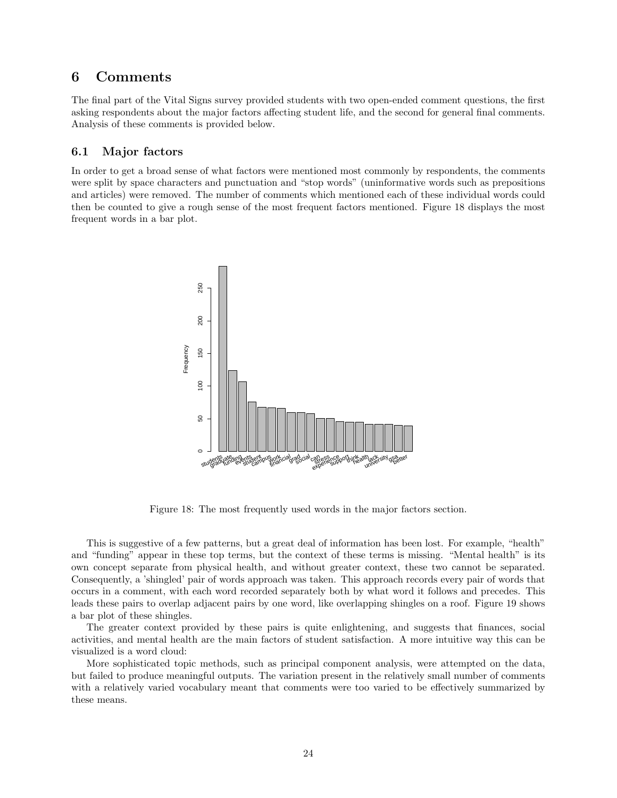## <span id="page-23-0"></span>6 Comments

The final part of the Vital Signs survey provided students with two open-ended comment questions, the first asking respondents about the major factors affecting student life, and the second for general final comments. Analysis of these comments is provided below.

## <span id="page-23-1"></span>6.1 Major factors

In order to get a broad sense of what factors were mentioned most commonly by respondents, the comments were split by space characters and punctuation and "stop words" (uninformative words such as prepositions and articles) were removed. The number of comments which mentioned each of these individual words could then be counted to give a rough sense of the most frequent factors mentioned. Figure [18](#page-23-2) displays the most frequent words in a bar plot.



<span id="page-23-2"></span>Figure 18: The most frequently used words in the major factors section.

This is suggestive of a few patterns, but a great deal of information has been lost. For example, "health" and "funding" appear in these top terms, but the context of these terms is missing. "Mental health" is its own concept separate from physical health, and without greater context, these two cannot be separated. Consequently, a 'shingled' pair of words approach was taken. This approach records every pair of words that occurs in a comment, with each word recorded separately both by what word it follows and precedes. This leads these pairs to overlap adjacent pairs by one word, like overlapping shingles on a roof. Figure [19](#page-24-0) shows a bar plot of these shingles.

The greater context provided by these pairs is quite enlightening, and suggests that finances, social activities, and mental health are the main factors of student satisfaction. A more intuitive way this can be visualized is a word cloud:

More sophisticated topic methods, such as principal component analysis, were attempted on the data, but failed to produce meaningful outputs. The variation present in the relatively small number of comments with a relatively varied vocabulary meant that comments were too varied to be effectively summarized by these means.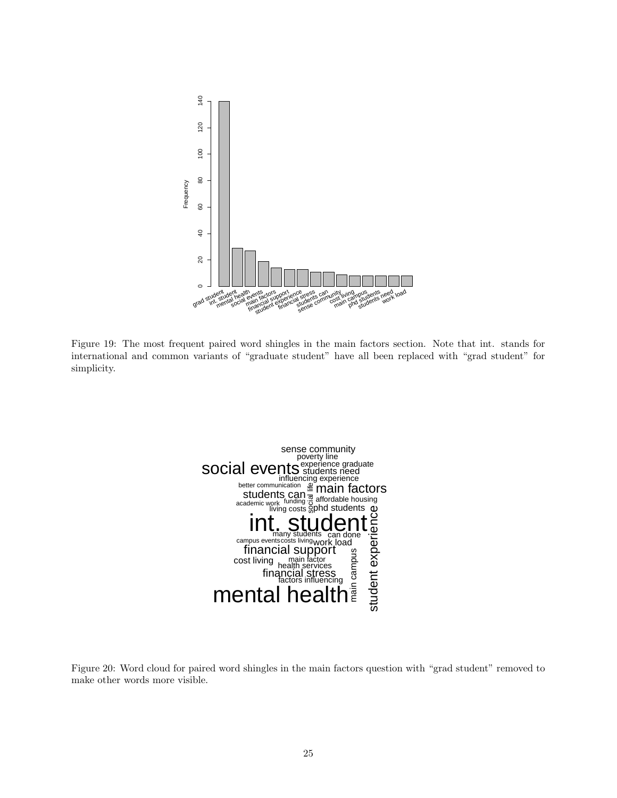

<span id="page-24-0"></span>Figure 19: The most frequent paired word shingles in the main factors section. Note that int. stands for international and common variants of "graduate student" have all been replaced with "grad student" for simplicity.



Figure 20: Word cloud for paired word shingles in the main factors question with "grad student" removed to make other words more visible.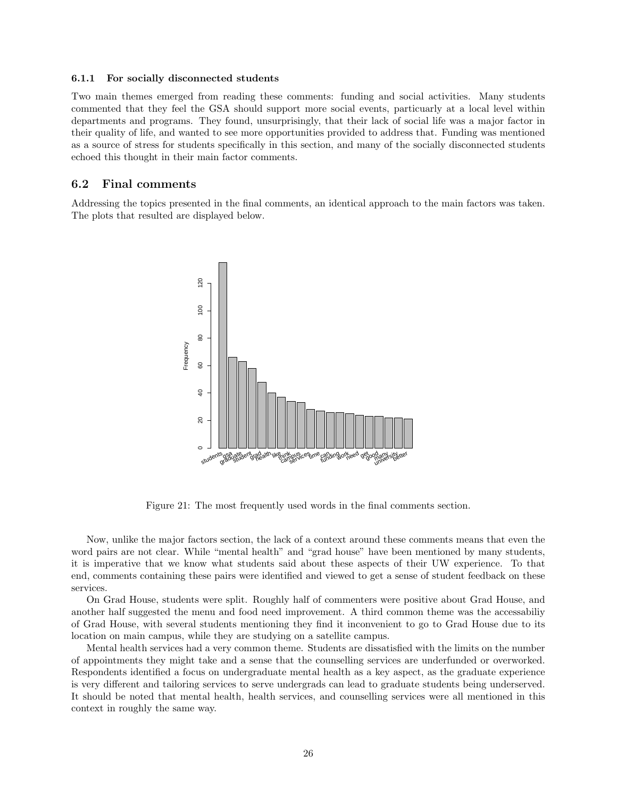#### <span id="page-25-0"></span>6.1.1 For socially disconnected students

Two main themes emerged from reading these comments: funding and social activities. Many students commented that they feel the GSA should support more social events, particuarly at a local level within departments and programs. They found, unsurprisingly, that their lack of social life was a major factor in their quality of life, and wanted to see more opportunities provided to address that. Funding was mentioned as a source of stress for students specifically in this section, and many of the socially disconnected students echoed this thought in their main factor comments.

### <span id="page-25-1"></span>6.2 Final comments

Addressing the topics presented in the final comments, an identical approach to the main factors was taken. The plots that resulted are displayed below.



Figure 21: The most frequently used words in the final comments section.

Now, unlike the major factors section, the lack of a context around these comments means that even the word pairs are not clear. While "mental health" and "grad house" have been mentioned by many students, it is imperative that we know what students said about these aspects of their UW experience. To that end, comments containing these pairs were identified and viewed to get a sense of student feedback on these services.

On Grad House, students were split. Roughly half of commenters were positive about Grad House, and another half suggested the menu and food need improvement. A third common theme was the accessabiliy of Grad House, with several students mentioning they find it inconvenient to go to Grad House due to its location on main campus, while they are studying on a satellite campus.

Mental health services had a very common theme. Students are dissatisfied with the limits on the number of appointments they might take and a sense that the counselling services are underfunded or overworked. Respondents identified a focus on undergraduate mental health as a key aspect, as the graduate experience is very different and tailoring services to serve undergrads can lead to graduate students being underserved. It should be noted that mental health, health services, and counselling services were all mentioned in this context in roughly the same way.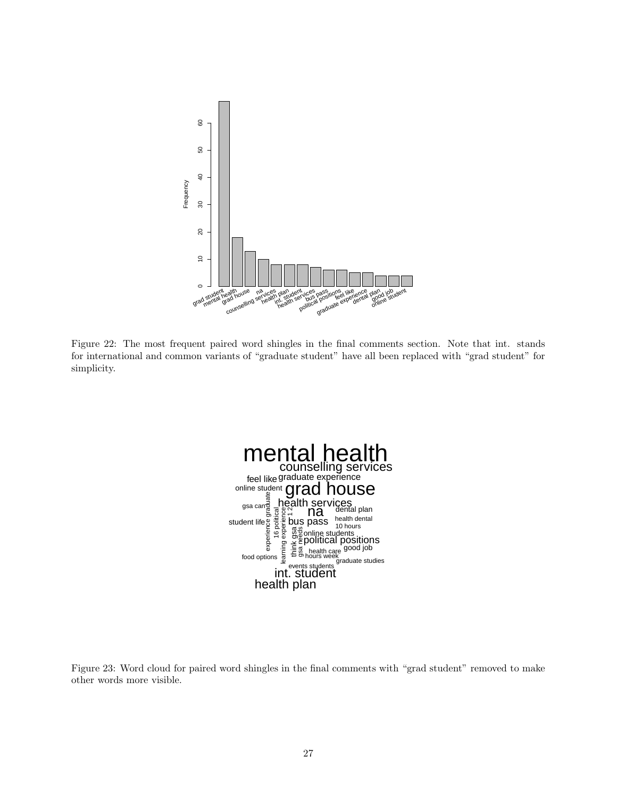

Figure 22: The most frequent paired word shingles in the final comments section. Note that int. stands for international and common variants of "graduate student" have all been replaced with "grad student" for simplicity.



Figure 23: Word cloud for paired word shingles in the final comments with "grad student" removed to make other words more visible.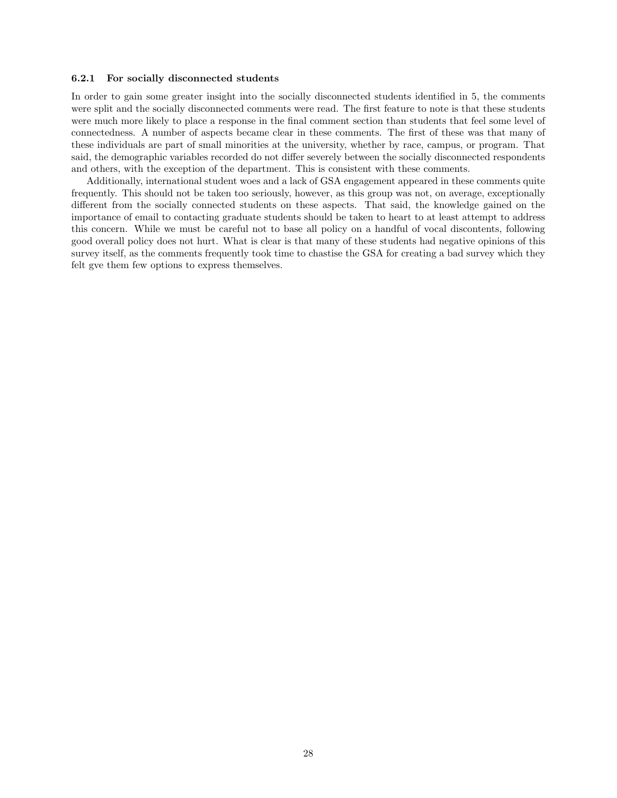#### <span id="page-27-0"></span>6.2.1 For socially disconnected students

In order to gain some greater insight into the socially disconnected students identified in [5,](#page-20-0) the comments were split and the socially disconnected comments were read. The first feature to note is that these students were much more likely to place a response in the final comment section than students that feel some level of connectedness. A number of aspects became clear in these comments. The first of these was that many of these individuals are part of small minorities at the university, whether by race, campus, or program. That said, the demographic variables recorded do not differ severely between the socially disconnected respondents and others, with the exception of the department. This is consistent with these comments.

Additionally, international student woes and a lack of GSA engagement appeared in these comments quite frequently. This should not be taken too seriously, however, as this group was not, on average, exceptionally different from the socially connected students on these aspects. That said, the knowledge gained on the importance of email to contacting graduate students should be taken to heart to at least attempt to address this concern. While we must be careful not to base all policy on a handful of vocal discontents, following good overall policy does not hurt. What is clear is that many of these students had negative opinions of this survey itself, as the comments frequently took time to chastise the GSA for creating a bad survey which they felt gve them few options to express themselves.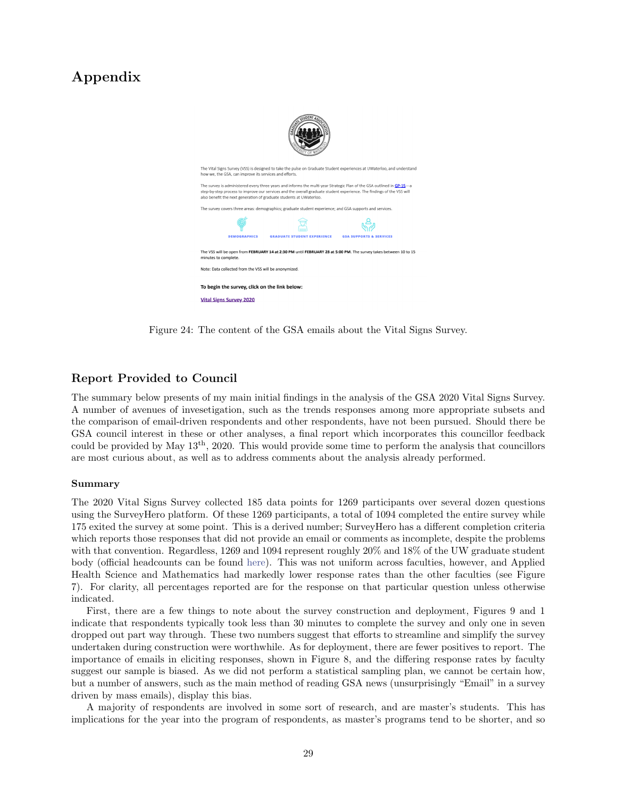## Appendix



Figure 24: The content of the GSA emails about the Vital Signs Survey.

### Report Provided to Council

The summary below presents of my main initial findings in the analysis of the GSA 2020 Vital Signs Survey. A number of avenues of invesetigation, such as the trends responses among more appropriate subsets and the comparison of email-driven respondents and other respondents, have not been pursued. Should there be GSA council interest in these or other analyses, a final report which incorporates this councillor feedback could be provided by May 13th, 2020. This would provide some time to perform the analysis that councillors are most curious about, as well as to address comments about the analysis already performed.

#### Summary

The 2020 Vital Signs Survey collected 185 data points for 1269 participants over several dozen questions using the SurveyHero platform. Of these 1269 participants, a total of 1094 completed the entire survey while 175 exited the survey at some point. This is a derived number; SurveyHero has a different completion criteria which reports those responses that did not provide an email or comments as incomplete, despite the problems with that convention. Regardless, 1269 and 1094 represent roughly 20% and 18% of the UW graduate student body (official headcounts can be found [here\)](https://uwaterloo.ca/institutional-analysis-planning/university-data-and-statistics/student-data/student-headcounts). This was not uniform across faculties, however, and Applied Health Science and Mathematics had markedly lower response rates than the other faculties (see Figure [7\)](#page-10-0). For clarity, all percentages reported are for the response on that particular question unless otherwise indicated.

First, there are a few things to note about the survey construction and deployment, Figures [9](#page-11-0) and [1](#page-6-0) indicate that respondents typically took less than 30 minutes to complete the survey and only one in seven dropped out part way through. These two numbers suggest that efforts to streamline and simplify the survey undertaken during construction were worthwhile. As for deployment, there are fewer positives to report. The importance of emails in eliciting responses, shown in Figure [8,](#page-11-1) and the differing response rates by faculty suggest our sample is biased. As we did not perform a statistical sampling plan, we cannot be certain how, but a number of answers, such as the main method of reading GSA news (unsurprisingly "Email" in a survey driven by mass emails), display this bias.

A majority of respondents are involved in some sort of research, and are master's students. This has implications for the year into the program of respondents, as master's programs tend to be shorter, and so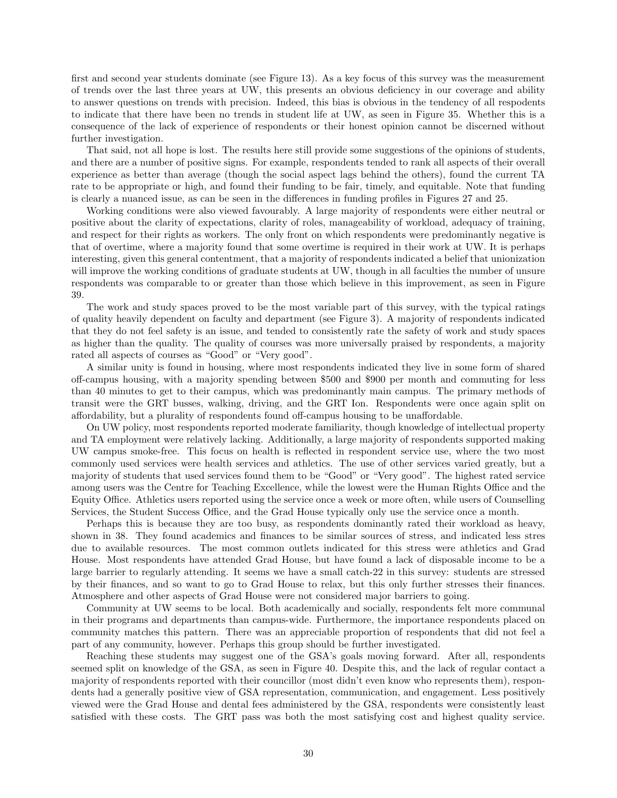first and second year students dominate (see Figure [13\)](#page-16-0). As a key focus of this survey was the measurement of trends over the last three years at UW, this presents an obvious deficiency in our coverage and ability to answer questions on trends with precision. Indeed, this bias is obvious in the tendency of all respodents to indicate that there have been no trends in student life at UW, as seen in Figure [35.](#page-40-0) Whether this is a consequence of the lack of experience of respondents or their honest opinion cannot be discerned without further investigation.

That said, not all hope is lost. The results here still provide some suggestions of the opinions of students, and there are a number of positive signs. For example, respondents tended to rank all aspects of their overall experience as better than average (though the social aspect lags behind the others), found the current TA rate to be appropriate or high, and found their funding to be fair, timely, and equitable. Note that funding is clearly a nuanced issue, as can be seen in the differences in funding profiles in Figures [27](#page-36-0) and [25.](#page-34-0)

Working conditions were also viewed favourably. A large majority of respondents were either neutral or positive about the clarity of expectations, clarity of roles, manageability of workload, adequacy of training, and respect for their rights as workers. The only front on which respondents were predominantly negative is that of overtime, where a majority found that some overtime is required in their work at UW. It is perhaps interesting, given this general contentment, that a majority of respondents indicated a belief that unionization will improve the working conditions of graduate students at UW, though in all faculties the number of unsure respondents was comparable to or greater than those which believe in this improvement, as seen in Figure [39.](#page-42-0)

The work and study spaces proved to be the most variable part of this survey, with the typical ratings of quality heavily dependent on faculty and department (see Figure [3\)](#page-7-0). A majority of respondents indicated that they do not feel safety is an issue, and tended to consistently rate the safety of work and study spaces as higher than the quality. The quality of courses was more universally praised by respondents, a majority rated all aspects of courses as "Good" or "Very good".

A similar unity is found in housing, where most respondents indicated they live in some form of shared off-campus housing, with a majority spending between \$500 and \$900 per month and commuting for less than 40 minutes to get to their campus, which was predominantly main campus. The primary methods of transit were the GRT busses, walking, driving, and the GRT Ion. Respondents were once again split on affordability, but a plurality of respondents found off-campus housing to be unaffordable.

On UW policy, most respondents reported moderate familiarity, though knowledge of intellectual property and TA employment were relatively lacking. Additionally, a large majority of respondents supported making UW campus smoke-free. This focus on health is reflected in respondent service use, where the two most commonly used services were health services and athletics. The use of other services varied greatly, but a majority of students that used services found them to be "Good" or "Very good". The highest rated service among users was the Centre for Teaching Excellence, while the lowest were the Human Rights Office and the Equity Office. Athletics users reported using the service once a week or more often, while users of Counselling Services, the Student Success Office, and the Grad House typically only use the service once a month.

Perhaps this is because they are too busy, as respondents dominantly rated their workload as heavy, shown in [38.](#page-42-1) They found academics and finances to be similar sources of stress, and indicated less stres due to available resources. The most common outlets indicated for this stress were athletics and Grad House. Most respondents have attended Grad House, but have found a lack of disposable income to be a large barrier to regularly attending. It seems we have a small catch-22 in this survey: students are stressed by their finances, and so want to go to Grad House to relax, but this only further stresses their finances. Atmosphere and other aspects of Grad House were not considered major barriers to going.

Community at UW seems to be local. Both academically and socially, respondents felt more communal in their programs and departments than campus-wide. Furthermore, the importance respondents placed on community matches this pattern. There was an appreciable proportion of respondents that did not feel a part of any community, however. Perhaps this group should be further investigated.

Reaching these students may suggest one of the GSA's goals moving forward. After all, respondents seemed split on knowledge of the GSA, as seen in Figure [40.](#page-43-0) Despite this, and the lack of regular contact a majority of respondents reported with their councillor (most didn't even know who represents them), respondents had a generally positive view of GSA representation, communication, and engagement. Less positively viewed were the Grad House and dental fees administered by the GSA, respondents were consistently least satisfied with these costs. The GRT pass was both the most satisfying cost and highest quality service.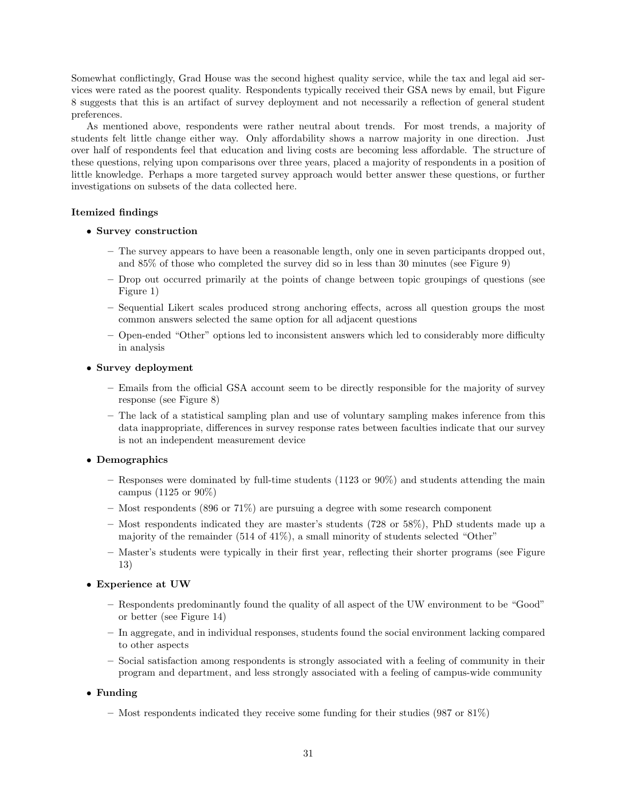Somewhat conflictingly, Grad House was the second highest quality service, while the tax and legal aid services were rated as the poorest quality. Respondents typically received their GSA news by email, but Figure [8](#page-11-1) suggests that this is an artifact of survey deployment and not necessarily a reflection of general student preferences.

As mentioned above, respondents were rather neutral about trends. For most trends, a majority of students felt little change either way. Only affordability shows a narrow majority in one direction. Just over half of respondents feel that education and living costs are becoming less affordable. The structure of these questions, relying upon comparisons over three years, placed a majority of respondents in a position of little knowledge. Perhaps a more targeted survey approach would better answer these questions, or further investigations on subsets of the data collected here.

## Itemized findings

### • Survey construction

- The survey appears to have been a reasonable length, only one in seven participants dropped out, and 85% of those who completed the survey did so in less than 30 minutes (see Figure [9\)](#page-11-0)
- Drop out occurred primarily at the points of change between topic groupings of questions (see Figure [1\)](#page-6-0)
- Sequential Likert scales produced strong anchoring effects, across all question groups the most common answers selected the same option for all adjacent questions
- Open-ended "Other" options led to inconsistent answers which led to considerably more difficulty in analysis

### • Survey deployment

- Emails from the official GSA account seem to be directly responsible for the majority of survey response (see Figure [8\)](#page-11-1)
- The lack of a statistical sampling plan and use of voluntary sampling makes inference from this data inappropriate, differences in survey response rates between faculties indicate that our survey is not an independent measurement device

## • Demographics

- Responses were dominated by full-time students  $(1123 \text{ or } 90\%)$  and students attending the main campus (1125 or 90%)
- Most respondents (896 or 71%) are pursuing a degree with some research component
- Most respondents indicated they are master's students (728 or 58%), PhD students made up a majority of the remainder (514 of 41%), a small minority of students selected "Other"
- Master's students were typically in their first year, reflecting their shorter programs (see Figure [13\)](#page-16-0)

## • Experience at UW

- Respondents predominantly found the quality of all aspect of the UW environment to be "Good" or better (see Figure [14\)](#page-17-2)
- In aggregate, and in individual responses, students found the social environment lacking compared to other aspects
- Social satisfaction among respondents is strongly associated with a feeling of community in their program and department, and less strongly associated with a feeling of campus-wide community

## • Funding

– Most respondents indicated they receive some funding for their studies (987 or  $81\%$ )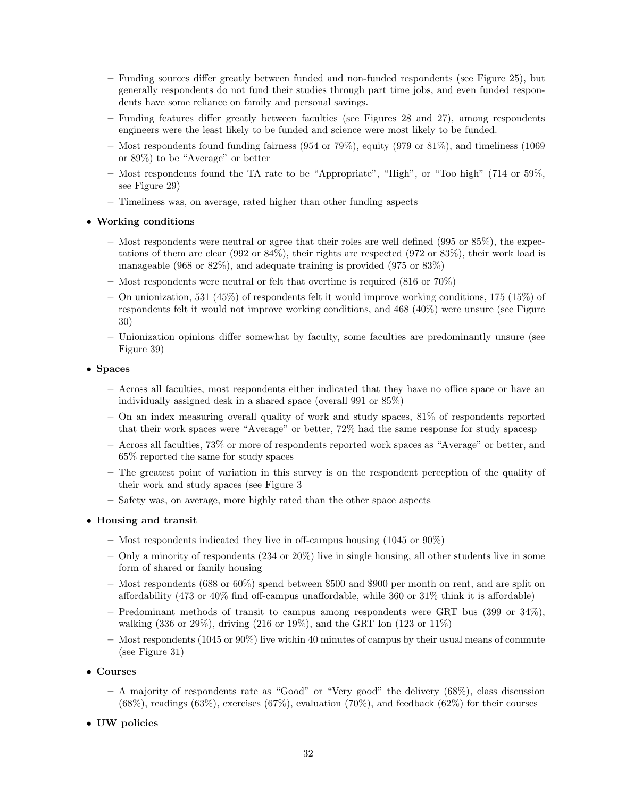- Funding sources differ greatly between funded and non-funded respondents (see Figure [25\)](#page-34-0), but generally respondents do not fund their studies through part time jobs, and even funded respondents have some reliance on family and personal savings.
- Funding features differ greatly between faculties (see Figures [28](#page-37-0) and [27\)](#page-36-0), among respondents engineers were the least likely to be funded and science were most likely to be funded.
- Most respondents found funding fairness (954 or 79%), equity (979 or 81%), and timeliness (1069 or 89%) to be "Average" or better
- Most respondents found the TA rate to be "Appropriate", "High", or "Too high" (714 or 59%, see Figure [29\)](#page-37-1)
- Timeliness was, on average, rated higher than other funding aspects

### • Working conditions

- $-$  Most respondents were neutral or agree that their roles are well defined (995 or 85%), the expectations of them are clear (992 or 84%), their rights are respected (972 or 83%), their work load is manageable (968 or 82%), and adequate training is provided (975 or 83%)
- Most respondents were neutral or felt that overtime is required (816 or 70%)
- On unionization, 531 (45%) of respondents felt it would improve working conditions, 175 (15%) of respondents felt it would not improve working conditions, and 468 (40%) were unsure (see Figure [30\)](#page-38-0)
- Unionization opinions differ somewhat by faculty, some faculties are predominantly unsure (see Figure [39\)](#page-42-0)

### • Spaces

- Across all faculties, most respondents either indicated that they have no office space or have an individually assigned desk in a shared space (overall 991 or 85%)
- On an index measuring overall quality of work and study spaces, 81% of respondents reported that their work spaces were "Average" or better, 72% had the same response for study spacesp
- Across all faculties, 73% or more of respondents reported work spaces as "Average" or better, and 65% reported the same for study spaces
- The greatest point of variation in this survey is on the respondent perception of the quality of their work and study spaces (see Figure [3](#page-7-0)
- Safety was, on average, more highly rated than the other space aspects

## • Housing and transit

- Most respondents indicated they live in off-campus housing (1045 or 90%)
- Only a minority of respondents  $(234 \text{ or } 20\%)$  live in single housing, all other students live in some form of shared or family housing
- Most respondents (688 or 60%) spend between \$500 and \$900 per month on rent, and are split on affordability (473 or 40% find off-campus unaffordable, while 360 or 31% think it is affordable)
- Predominant methods of transit to campus among respondents were GRT bus (399 or  $34\%$ ), walking (336 or 29%), driving (216 or 19%), and the GRT Ion (123 or 11%)
- Most respondents (1045 or 90%) live within 40 minutes of campus by their usual means of commute (see Figure [31\)](#page-38-1)

### • Courses

- $-$  A majority of respondents rate as "Good" or "Very good" the delivery  $(68\%)$ , class discussion  $(68\%)$ , readings  $(63\%)$ , exercises  $(67\%)$ , evaluation  $(70\%)$ , and feedback  $(62\%)$  for their courses
- UW policies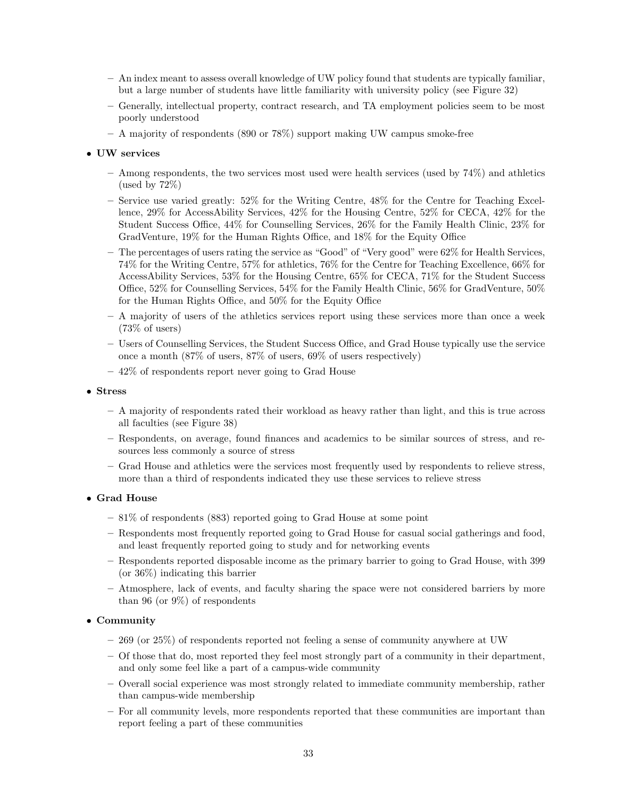- An index meant to assess overall knowledge of UW policy found that students are typically familiar, but a large number of students have little familiarity with university policy (see Figure [32\)](#page-39-0)
- Generally, intellectual property, contract research, and TA employment policies seem to be most poorly understood
- A majority of respondents (890 or 78%) support making UW campus smoke-free

### • UW services

- Among respondents, the two services most used were health services (used by 74%) and athletics (used by 72%)
- Service use varied greatly: 52% for the Writing Centre, 48% for the Centre for Teaching Excellence, 29% for AccessAbility Services, 42% for the Housing Centre, 52% for CECA, 42% for the Student Success Office, 44% for Counselling Services, 26% for the Family Health Clinic, 23% for GradVenture, 19% for the Human Rights Office, and 18% for the Equity Office
- The percentages of users rating the service as "Good" of "Very good" were 62% for Health Services, 74% for the Writing Centre, 57% for athletics, 76% for the Centre for Teaching Excellence, 66% for AccessAbility Services, 53% for the Housing Centre, 65% for CECA, 71% for the Student Success Office, 52% for Counselling Services, 54% for the Family Health Clinic, 56% for GradVenture, 50% for the Human Rights Office, and 50% for the Equity Office
- A majority of users of the athletics services report using these services more than once a week (73% of users)
- Users of Counselling Services, the Student Success Office, and Grad House typically use the service once a month (87% of users, 87% of users, 69% of users respectively)
- 42% of respondents report never going to Grad House

### • Stress

- A majority of respondents rated their workload as heavy rather than light, and this is true across all faculties (see Figure [38\)](#page-42-1)
- Respondents, on average, found finances and academics to be similar sources of stress, and resources less commonly a source of stress
- Grad House and athletics were the services most frequently used by respondents to relieve stress, more than a third of respondents indicated they use these services to relieve stress

### • Grad House

- 81% of respondents (883) reported going to Grad House at some point
- Respondents most frequently reported going to Grad House for casual social gatherings and food, and least frequently reported going to study and for networking events
- Respondents reported disposable income as the primary barrier to going to Grad House, with 399 (or 36%) indicating this barrier
- Atmosphere, lack of events, and faculty sharing the space were not considered barriers by more than 96 (or 9%) of respondents

## • Community

- 269 (or 25%) of respondents reported not feeling a sense of community anywhere at UW
- Of those that do, most reported they feel most strongly part of a community in their department, and only some feel like a part of a campus-wide community
- Overall social experience was most strongly related to immediate community membership, rather than campus-wide membership
- For all community levels, more respondents reported that these communities are important than report feeling a part of these communities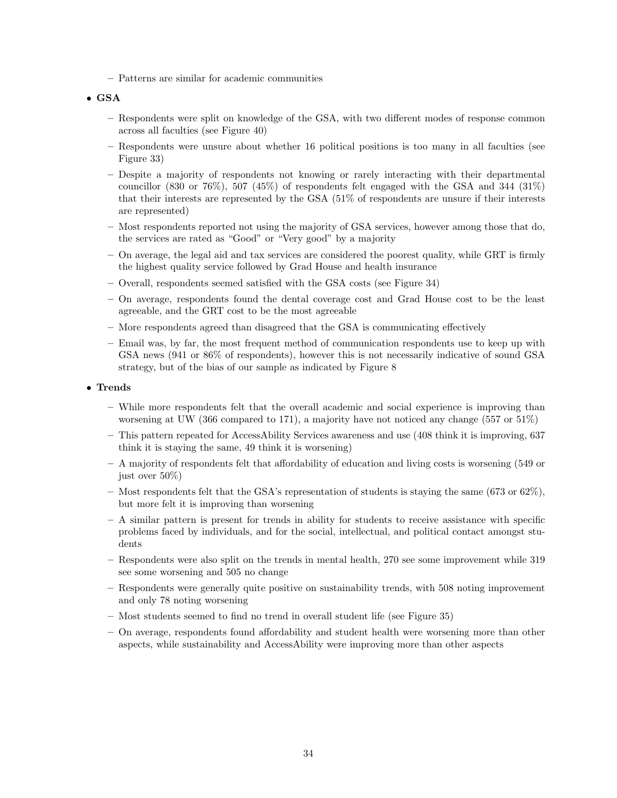– Patterns are similar for academic communities

## • GSA

- Respondents were split on knowledge of the GSA, with two different modes of response common across all faculties (see Figure [40\)](#page-43-0)
- Respondents were unsure about whether 16 political positions is too many in all faculties (see Figure [33\)](#page-39-1)
- Despite a majority of respondents not knowing or rarely interacting with their departmental councillor  $(830 \text{ or } 76\%)$ , 507  $(45\%)$  of respondents felt engaged with the GSA and 344  $(31\%)$ that their interests are represented by the GSA (51% of respondents are unsure if their interests are represented)
- Most respondents reported not using the majority of GSA services, however among those that do, the services are rated as "Good" or "Very good" by a majority
- On average, the legal aid and tax services are considered the poorest quality, while GRT is firmly the highest quality service followed by Grad House and health insurance
- Overall, respondents seemed satisfied with the GSA costs (see Figure [34\)](#page-40-1)
- On average, respondents found the dental coverage cost and Grad House cost to be the least agreeable, and the GRT cost to be the most agreeable
- More respondents agreed than disagreed that the GSA is communicating effectively
- Email was, by far, the most frequent method of communication respondents use to keep up with GSA news (941 or 86% of respondents), however this is not necessarily indicative of sound GSA strategy, but of the bias of our sample as indicated by Figure [8](#page-11-1)

### • Trends

- While more respondents felt that the overall academic and social experience is improving than worsening at UW (366 compared to 171), a majority have not noticed any change (557 or 51%)
- This pattern repeated for AccessAbility Services awareness and use (408 think it is improving, 637 think it is staying the same, 49 think it is worsening)
- A majority of respondents felt that affordability of education and living costs is worsening (549 or just over 50%)
- Most respondents felt that the GSA's representation of students is staying the same  $(673 \text{ or } 62\%)$ , but more felt it is improving than worsening
- A similar pattern is present for trends in ability for students to receive assistance with specific problems faced by individuals, and for the social, intellectual, and political contact amongst students
- Respondents were also split on the trends in mental health, 270 see some improvement while 319 see some worsening and 505 no change
- Respondents were generally quite positive on sustainability trends, with 508 noting improvement and only 78 noting worsening
- Most students seemed to find no trend in overall student life (see Figure [35\)](#page-40-0)
- On average, respondents found affordability and student health were worsening more than other aspects, while sustainability and AccessAbility were improving more than other aspects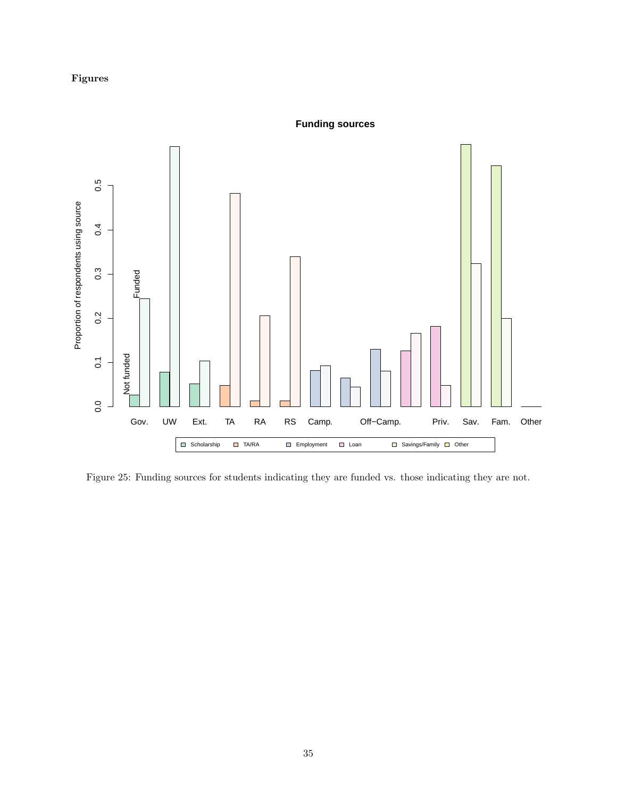## Figures



<span id="page-34-0"></span>Figure 25: Funding sources for students indicating they are funded vs. those indicating they are not.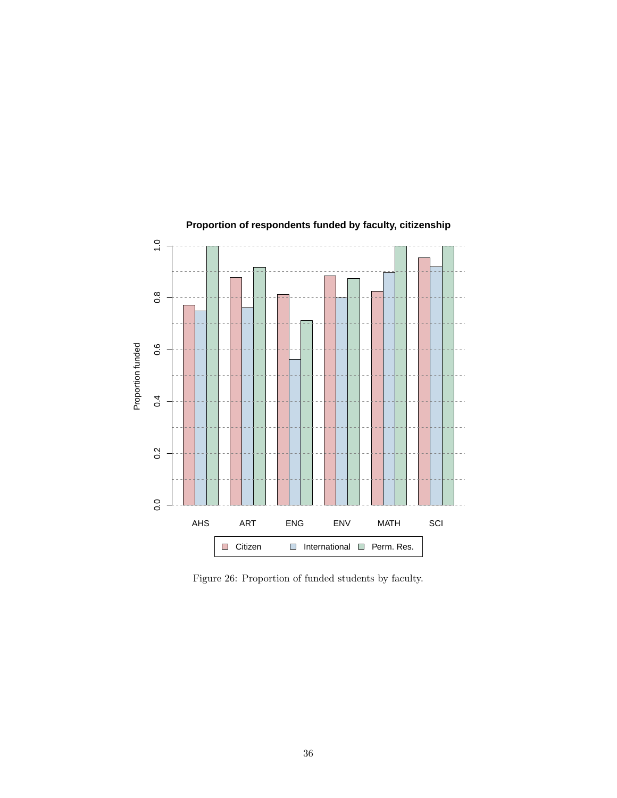

## **Proportion of respondents funded by faculty, citizenship**

Figure 26: Proportion of funded students by faculty.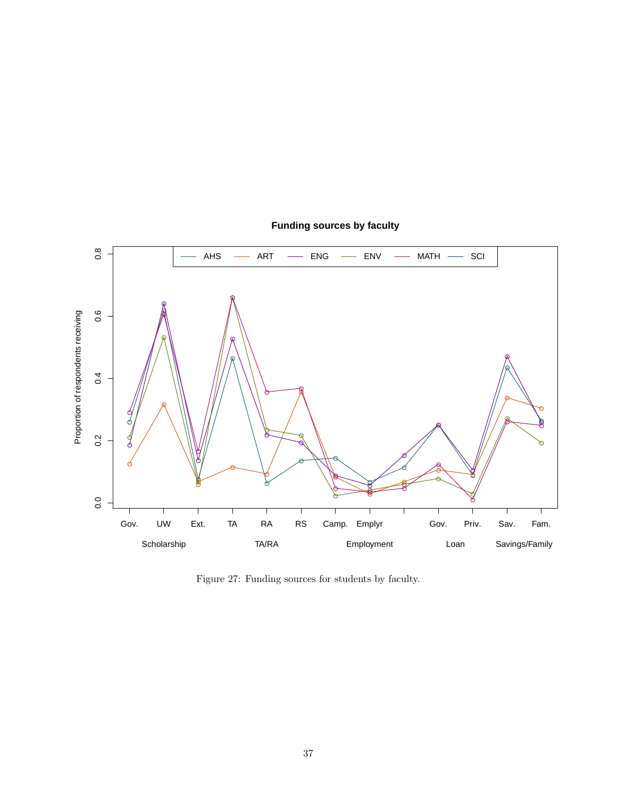

## **Funding sources by faculty**

<span id="page-36-0"></span>Figure 27: Funding sources for students by faculty.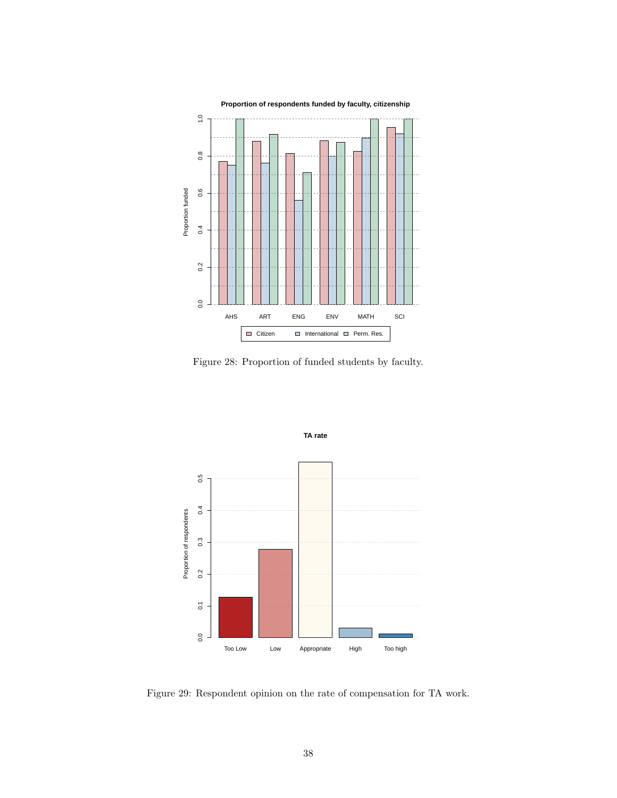

<span id="page-37-0"></span>Figure 28: Proportion of funded students by faculty.



<span id="page-37-1"></span>Figure 29: Respondent opinion on the rate of compensation for TA work.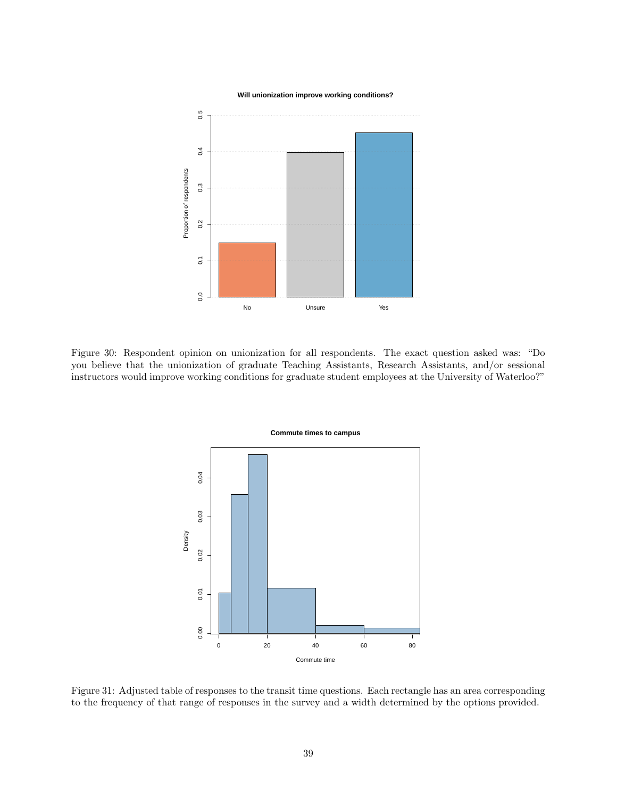**Will unionization improve working conditions?**



<span id="page-38-0"></span>Figure 30: Respondent opinion on unionization for all respondents. The exact question asked was: "Do you believe that the unionization of graduate Teaching Assistants, Research Assistants, and/or sessional instructors would improve working conditions for graduate student employees at the University of Waterloo?"



<span id="page-38-1"></span>Figure 31: Adjusted table of responses to the transit time questions. Each rectangle has an area corresponding to the frequency of that range of responses in the survey and a width determined by the options provided.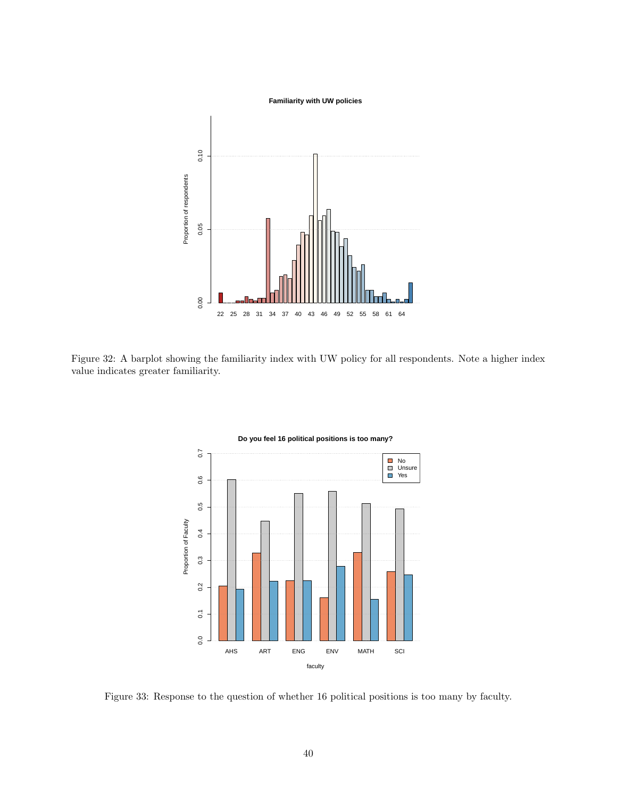

<span id="page-39-0"></span>Figure 32: A barplot showing the familiarity index with UW policy for all respondents. Note a higher index value indicates greater familiarity.



**Do you feel 16 political positions is too many?**

<span id="page-39-1"></span>Figure 33: Response to the question of whether 16 political positions is too many by faculty.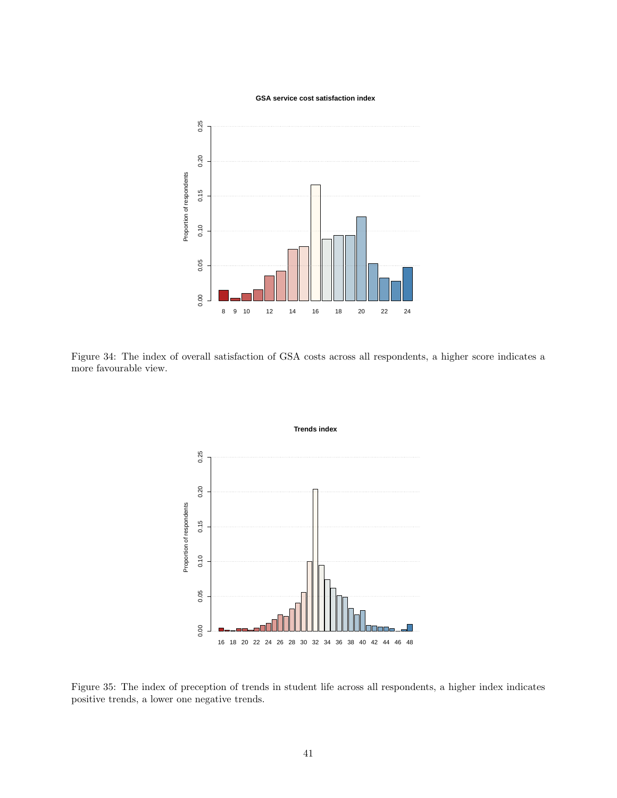**GSA service cost satisfaction index**



<span id="page-40-1"></span>Figure 34: The index of overall satisfaction of GSA costs across all respondents, a higher score indicates a more favourable view.



<span id="page-40-0"></span>Figure 35: The index of preception of trends in student life across all respondents, a higher index indicates positive trends, a lower one negative trends.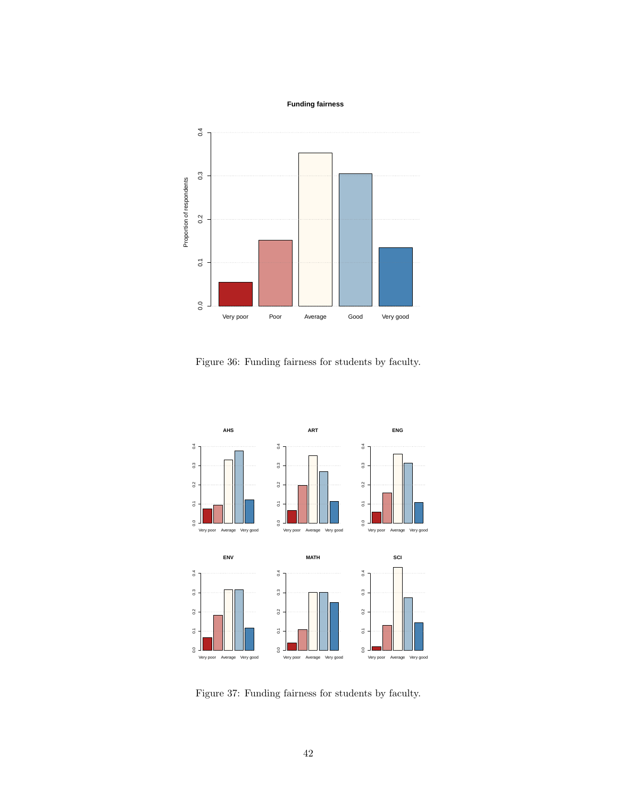**Funding fairness**



Figure 36: Funding fairness for students by faculty.



Figure 37: Funding fairness for students by faculty.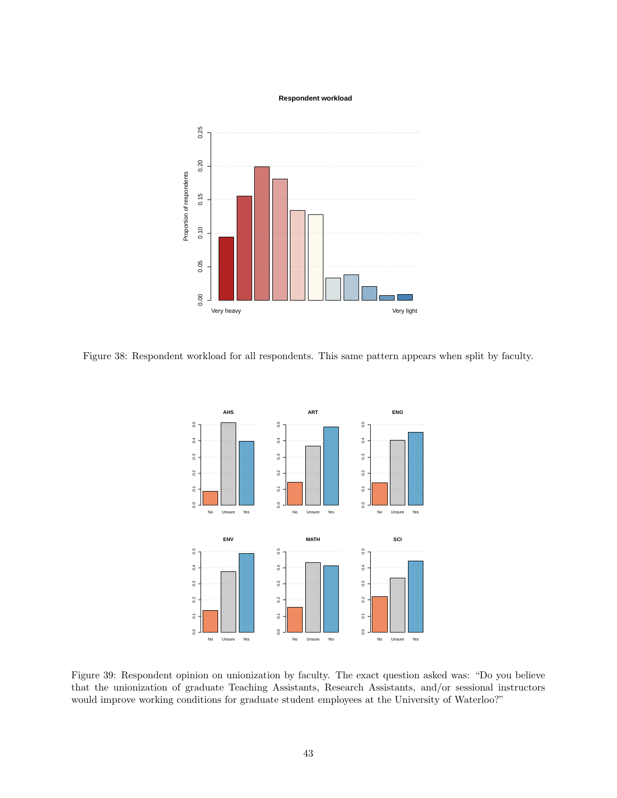#### **Respondent workload**



<span id="page-42-1"></span>Figure 38: Respondent workload for all respondents. This same pattern appears when split by faculty.



<span id="page-42-0"></span>Figure 39: Respondent opinion on unionization by faculty. The exact question asked was: "Do you believe that the unionization of graduate Teaching Assistants, Research Assistants, and/or sessional instructors would improve working conditions for graduate student employees at the University of Waterloo?"